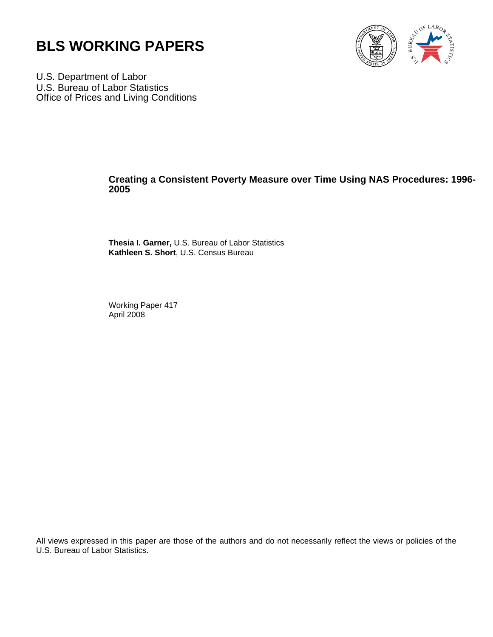



U.S. Department of Labor U.S. Bureau of Labor Statistics Office of Prices and Living Conditions

## **Creating a Consistent Poverty Measure over Time Using NAS Procedures: 1996- 2005**

**Thesia I. Garner,** U.S. Bureau of Labor Statistics **Kathleen S. Short**, U.S. Census Bureau

Working Paper 417 April 2008

All views expressed in this paper are those of the authors and do not necessarily reflect the views or policies of the U.S. Bureau of Labor Statistics.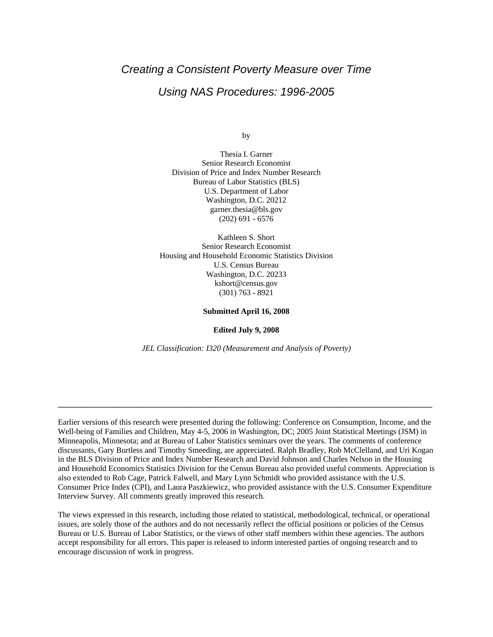# *Creating a Consistent Poverty Measure over Time*

## *Using NAS Procedures: 1996-2005*

by

Thesia I. Garner Senior Research Economist Division of Price and Index Number Research Bureau of Labor Statistics (BLS) U.S. Department of Labor Washington, D.C. 20212 garner.thesia@bls.gov (202) 691 - 6576

Kathleen S. Short Senior Research Economist Housing and Household Economic Statistics Division U.S. Census Bureau Washington, D.C. 20233 kshort@census.gov (301) 763 - 8921

**Submitted April 16, 2008** 

**Edited July 9, 2008** 

*JEL Classification: I320 (Measurement and Analysis of Poverty)* 

**\_\_\_\_\_\_\_\_\_\_\_\_\_\_\_\_\_\_\_\_\_\_\_\_\_\_\_\_\_\_\_\_\_\_\_\_\_\_\_\_\_\_\_\_\_\_\_\_\_\_\_\_\_\_\_\_\_\_\_\_\_\_\_\_\_\_\_\_\_\_\_\_\_\_\_\_\_\_\_\_\_\_\_\_\_\_\_\_\_\_\_\_\_** 

Earlier versions of this research were presented during the following: Conference on Consumption, Income, and the Well-being of Families and Children, May 4-5, 2006 in Washington, DC; 2005 Joint Statistical Meetings (JSM) in Minneapolis, Minnesota; and at Bureau of Labor Statistics seminars over the years. The comments of conference discussants, Gary Burtless and Timothy Smeeding, are appreciated. Ralph Bradley, Rob McClelland, and Uri Kogan in the BLS Division of Price and Index Number Research and David Johnson and Charles Nelson in the Housing and Household Economics Statistics Division for the Census Bureau also provided useful comments. Appreciation is also extended to Rob Cage, Patrick Falwell, and Mary Lynn Schmidt who provided assistance with the U.S. Consumer Price Index (CPI), and Laura Paszkiewicz, who provided assistance with the U.S. Consumer Expenditure Interview Survey. All comments greatly improved this research.

The views expressed in this research, including those related to statistical, methodological, technical, or operational issues, are solely those of the authors and do not necessarily reflect the official positions or policies of the Census Bureau or U.S. Bureau of Labor Statistics, or the views of other staff members within these agencies. The authors accept responsibility for all errors. This paper is released to inform interested parties of ongoing research and to encourage discussion of work in progress.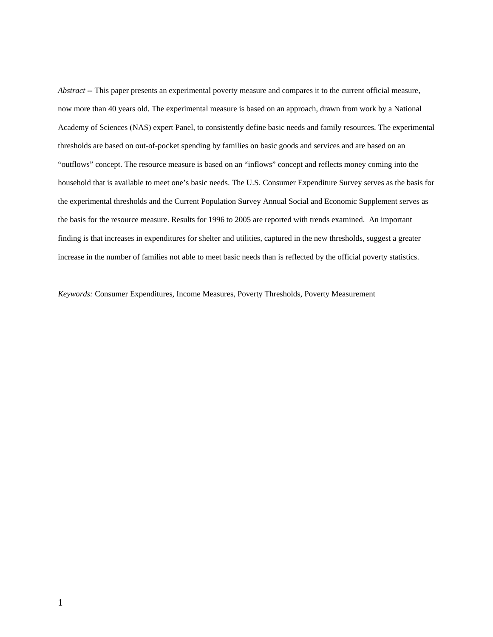*Abstract* **--** This paper presents an experimental poverty measure and compares it to the current official measure, now more than 40 years old. The experimental measure is based on an approach, drawn from work by a National Academy of Sciences (NAS) expert Panel, to consistently define basic needs and family resources. The experimental thresholds are based on out-of-pocket spending by families on basic goods and services and are based on an "outflows" concept. The resource measure is based on an "inflows" concept and reflects money coming into the household that is available to meet one's basic needs. The U.S. Consumer Expenditure Survey serves as the basis for the experimental thresholds and the Current Population Survey Annual Social and Economic Supplement serves as the basis for the resource measure. Results for 1996 to 2005 are reported with trends examined. An important finding is that increases in expenditures for shelter and utilities, captured in the new thresholds, suggest a greater increase in the number of families not able to meet basic needs than is reflected by the official poverty statistics.

*Keywords:* Consumer Expenditures, Income Measures, Poverty Thresholds, Poverty Measurement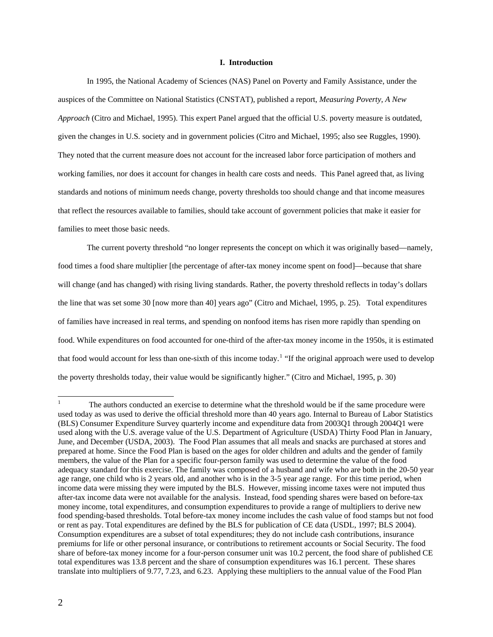## **I. Introduction**

In 1995, the National Academy of Sciences (NAS) Panel on Poverty and Family Assistance, under the auspices of the Committee on National Statistics (CNSTAT), published a report, *Measuring Poverty, A New Approach* (Citro and Michael, 1995). This expert Panel argued that the official U.S. poverty measure is outdated, given the changes in U.S. society and in government policies (Citro and Michael, 1995; also see Ruggles, 1990). They noted that the current measure does not account for the increased labor force participation of mothers and working families, nor does it account for changes in health care costs and needs. This Panel agreed that, as living standards and notions of minimum needs change, poverty thresholds too should change and that income measures that reflect the resources available to families, should take account of government policies that make it easier for families to meet those basic needs.

The current poverty threshold "no longer represents the concept on which it was originally based—namely, food times a food share multiplier [the percentage of after-tax money income spent on food]—because that share will change (and has changed) with rising living standards. Rather, the poverty threshold reflects in today's dollars the line that was set some 30 [now more than 40] years ago" (Citro and Michael, 1995, p. 25). Total expenditures of families have increased in real terms, and spending on nonfood items has risen more rapidly than spending on food. While expenditures on food accounted for one-third of the after-tax money income in the 1950s, it is estimated that food would account for less than one-sixth of this income today.<sup>[1](#page-3-0)</sup> "If the original approach were used to develop the poverty thresholds today, their value would be significantly higher." (Citro and Michael, 1995, p. 30)

-

<span id="page-3-0"></span><sup>1</sup> The authors conducted an exercise to determine what the threshold would be if the same procedure were used today as was used to derive the official threshold more than 40 years ago. Internal to Bureau of Labor Statistics (BLS) Consumer Expenditure Survey quarterly income and expenditure data from 2003Q1 through 2004Q1 were used along with the U.S. average value of the U.S. Department of Agriculture (USDA) Thirty Food Plan in January, June, and December (USDA, 2003). The Food Plan assumes that all meals and snacks are purchased at stores and prepared at home. Since the Food Plan is based on the ages for older children and adults and the gender of family members, the value of the Plan for a specific four-person family was used to determine the value of the food adequacy standard for this exercise. The family was composed of a husband and wife who are both in the 20-50 year age range, one child who is 2 years old, and another who is in the 3-5 year age range. For this time period, when income data were missing they were imputed by the BLS. However, missing income taxes were not imputed thus after-tax income data were not available for the analysis. Instead, food spending shares were based on before-tax money income, total expenditures, and consumption expenditures to provide a range of multipliers to derive new food spending-based thresholds. Total before-tax money income includes the cash value of food stamps but not food or rent as pay. Total expenditures are defined by the BLS for publication of CE data (USDL, 1997; BLS 2004). Consumption expenditures are a subset of total expenditures; they do not include cash contributions, insurance premiums for life or other personal insurance, or contributions to retirement accounts or Social Security. The food share of before-tax money income for a four-person consumer unit was 10.2 percent, the food share of published CE total expenditures was 13.8 percent and the share of consumption expenditures was 16.1 percent. These shares translate into multipliers of 9.77, 7.23, and 6.23. Applying these multipliers to the annual value of the Food Plan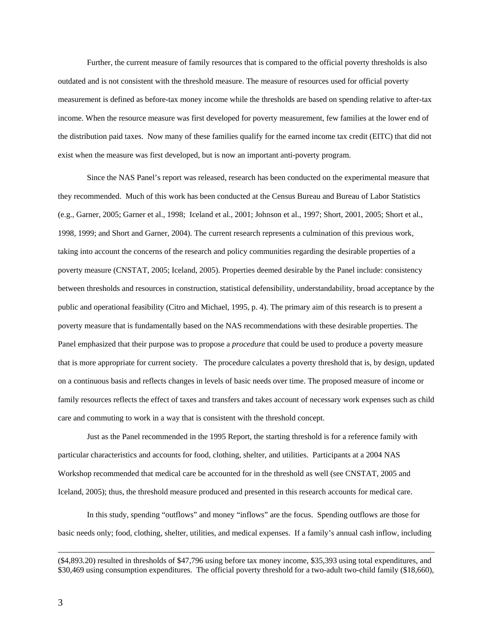Further, the current measure of family resources that is compared to the official poverty thresholds is also outdated and is not consistent with the threshold measure. The measure of resources used for official poverty measurement is defined as before-tax money income while the thresholds are based on spending relative to after-tax income. When the resource measure was first developed for poverty measurement, few families at the lower end of the distribution paid taxes. Now many of these families qualify for the earned income tax credit (EITC) that did not exist when the measure was first developed, but is now an important anti-poverty program.

 Since the NAS Panel's report was released, research has been conducted on the experimental measure that they recommended. Much of this work has been conducted at the Census Bureau and Bureau of Labor Statistics (e.g., Garner, 2005; Garner et al., 1998; Iceland et al., 2001; Johnson et al., 1997; Short, 2001, 2005; Short et al., 1998, 1999; and Short and Garner, 2004). The current research represents a culmination of this previous work, taking into account the concerns of the research and policy communities regarding the desirable properties of a poverty measure (CNSTAT, 2005; Iceland, 2005). Properties deemed desirable by the Panel include: consistency between thresholds and resources in construction, statistical defensibility, understandability, broad acceptance by the public and operational feasibility (Citro and Michael, 1995, p. 4). The primary aim of this research is to present a poverty measure that is fundamentally based on the NAS recommendations with these desirable properties. The Panel emphasized that their purpose was to propose a *procedure* that could be used to produce a poverty measure that is more appropriate for current society. The procedure calculates a poverty threshold that is, by design, updated on a continuous basis and reflects changes in levels of basic needs over time. The proposed measure of income or family resources reflects the effect of taxes and transfers and takes account of necessary work expenses such as child care and commuting to work in a way that is consistent with the threshold concept.

Just as the Panel recommended in the 1995 Report, the starting threshold is for a reference family with particular characteristics and accounts for food, clothing, shelter, and utilities. Participants at a 2004 NAS Workshop recommended that medical care be accounted for in the threshold as well (see CNSTAT, 2005 and Iceland, 2005); thus, the threshold measure produced and presented in this research accounts for medical care.

 In this study, spending "outflows" and money "inflows" are the focus. Spending outflows are those for basic needs only; food, clothing, shelter, utilities, and medical expenses. If a family's annual cash inflow, including

 $\overline{a}$ 

<sup>(\$4,893.20)</sup> resulted in thresholds of \$47,796 using before tax money income, \$35,393 using total expenditures, and \$30,469 using consumption expenditures. The official poverty threshold for a two-adult two-child family (\$18,660),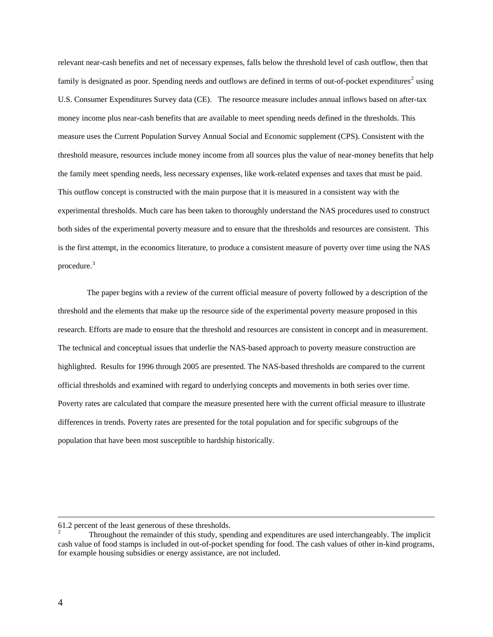relevant near-cash benefits and net of necessary expenses, falls below the threshold level of cash outflow, then that family is designated as poor. Spending needs and outflows are defined in terms of out-of-pocket expenditures<sup>[2](#page-5-0)</sup> using U.S. Consumer Expenditures Survey data (CE). The resource measure includes annual inflows based on after-tax money income plus near-cash benefits that are available to meet spending needs defined in the thresholds. This measure uses the Current Population Survey Annual Social and Economic supplement (CPS). Consistent with the threshold measure, resources include money income from all sources plus the value of near-money benefits that help the family meet spending needs, less necessary expenses, like work-related expenses and taxes that must be paid. This outflow concept is constructed with the main purpose that it is measured in a consistent way with the experimental thresholds. Much care has been taken to thoroughly understand the NAS procedures used to construct both sides of the experimental poverty measure and to ensure that the thresholds and resources are consistent. This is the first attempt, in the economics literature, to produce a consistent measure of poverty over time using the NAS procedure.<sup>[3](#page-5-1)</sup>

The paper begins with a review of the current official measure of poverty followed by a description of the threshold and the elements that make up the resource side of the experimental poverty measure proposed in this research. Efforts are made to ensure that the threshold and resources are consistent in concept and in measurement. The technical and conceptual issues that underlie the NAS-based approach to poverty measure construction are highlighted. Results for 1996 through 2005 are presented. The NAS-based thresholds are compared to the current official thresholds and examined with regard to underlying concepts and movements in both series over time. Poverty rates are calculated that compare the measure presented here with the current official measure to illustrate differences in trends. Poverty rates are presented for the total population and for specific subgroups of the population that have been most susceptible to hardship historically.

<span id="page-5-1"></span>-

<sup>61.2</sup> percent of the least generous of these thresholds.

<span id="page-5-0"></span><sup>2</sup> Throughout the remainder of this study, spending and expenditures are used interchangeably. The implicit cash value of food stamps is included in out-of-pocket spending for food. The cash values of other in-kind programs, for example housing subsidies or energy assistance, are not included.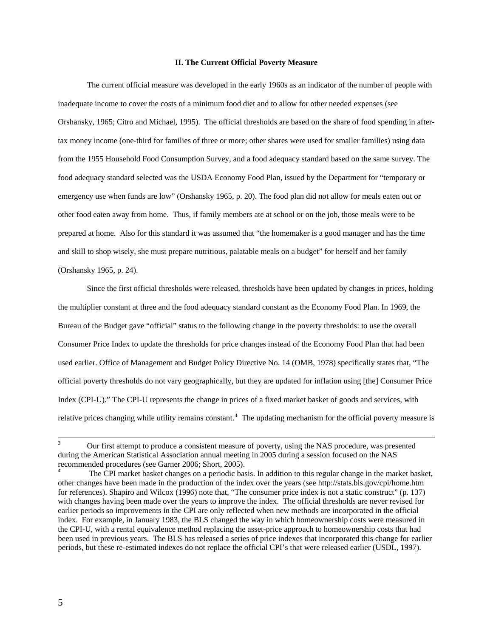## **II. The Current Official Poverty Measure**

The current official measure was developed in the early 1960s as an indicator of the number of people with inadequate income to cover the costs of a minimum food diet and to allow for other needed expenses (see Orshansky, 1965; Citro and Michael, 1995). The official thresholds are based on the share of food spending in aftertax money income (one-third for families of three or more; other shares were used for smaller families) using data from the 1955 Household Food Consumption Survey, and a food adequacy standard based on the same survey. The food adequacy standard selected was the USDA Economy Food Plan, issued by the Department for "temporary or emergency use when funds are low" (Orshansky 1965, p. 20). The food plan did not allow for meals eaten out or other food eaten away from home. Thus, if family members ate at school or on the job, those meals were to be prepared at home. Also for this standard it was assumed that "the homemaker is a good manager and has the time and skill to shop wisely, she must prepare nutritious, palatable meals on a budget" for herself and her family (Orshansky 1965, p. 24).

 Since the first official thresholds were released, thresholds have been updated by changes in prices, holding the multiplier constant at three and the food adequacy standard constant as the Economy Food Plan. In 1969, the Bureau of the Budget gave "official" status to the following change in the poverty thresholds: to use the overall Consumer Price Index to update the thresholds for price changes instead of the Economy Food Plan that had been used earlier. Office of Management and Budget Policy Directive No. 14 (OMB, 1978) specifically states that, "The official poverty thresholds do not vary geographically, but they are updated for inflation using [the] Consumer Price Index (CPI-U)." The CPI-U represents the change in prices of a fixed market basket of goods and services, with relative prices changing while utility remains constant.<sup>[4](#page-6-0)</sup> The updating mechanism for the official poverty measure is

-

<sup>3</sup> Our first attempt to produce a consistent measure of poverty, using the NAS procedure, was presented during the American Statistical Association annual meeting in 2005 during a session focused on the NAS recommended procedures (see Garner 2006; Short, 2005).

<span id="page-6-0"></span><sup>4</sup> The CPI market basket changes on a periodic basis. In addition to this regular change in the market basket, other changes have been made in the production of the index over the years (see http://stats.bls.gov/cpi/home.htm for references). Shapiro and Wilcox (1996) note that, "The consumer price index is not a static construct" (p. 137) with changes having been made over the years to improve the index. The official thresholds are never revised for earlier periods so improvements in the CPI are only reflected when new methods are incorporated in the official index. For example, in January 1983, the BLS changed the way in which homeownership costs were measured in the CPI-U, with a rental equivalence method replacing the asset-price approach to homeownership costs that had been used in previous years. The BLS has released a series of price indexes that incorporated this change for earlier periods, but these re-estimated indexes do not replace the official CPI's that were released earlier (USDL, 1997).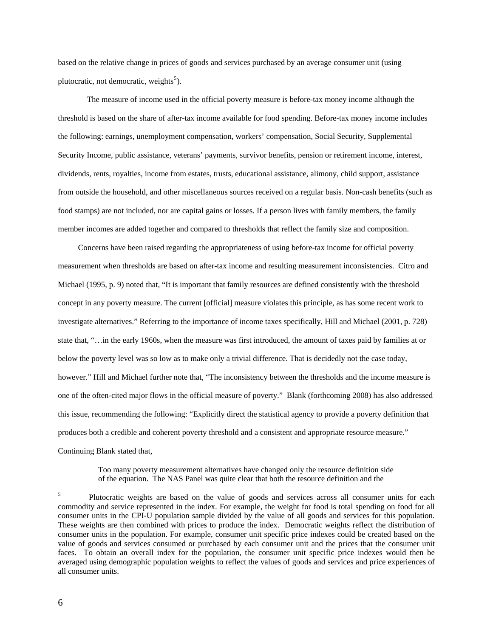based on the relative change in prices of goods and services purchased by an average consumer unit (using plutocratic, not democratic, weights<sup>[5](#page-7-0)</sup>).

The measure of income used in the official poverty measure is before-tax money income although the threshold is based on the share of after-tax income available for food spending. Before-tax money income includes the following: earnings, unemployment compensation, workers' compensation, Social Security, Supplemental Security Income, public assistance, veterans' payments, survivor benefits, pension or retirement income, interest, dividends, rents, royalties, income from estates, trusts, educational assistance, alimony, child support, assistance from outside the household, and other miscellaneous sources received on a regular basis. Non-cash benefits (such as food stamps) are not included, nor are capital gains or losses. If a person lives with family members, the family member incomes are added together and compared to thresholds that reflect the family size and composition.

Concerns have been raised regarding the appropriateness of using before-tax income for official poverty measurement when thresholds are based on after-tax income and resulting measurement inconsistencies. Citro and Michael (1995, p. 9) noted that, "It is important that family resources are defined consistently with the threshold concept in any poverty measure. The current [official] measure violates this principle, as has some recent work to investigate alternatives." Referring to the importance of income taxes specifically, Hill and Michael (2001, p. 728) state that, "…in the early 1960s, when the measure was first introduced, the amount of taxes paid by families at or below the poverty level was so low as to make only a trivial difference. That is decidedly not the case today, however." Hill and Michael further note that, "The inconsistency between the thresholds and the income measure is one of the often-cited major flows in the official measure of poverty." Blank (forthcoming 2008) has also addressed this issue, recommending the following: "Explicitly direct the statistical agency to provide a poverty definition that produces both a credible and coherent poverty threshold and a consistent and appropriate resource measure." Continuing Blank stated that,

> Too many poverty measurement alternatives have changed only the resource definition side of the equation. The NAS Panel was quite clear that both the resource definition and the

<span id="page-7-0"></span> $\frac{1}{5}$  Plutocratic weights are based on the value of goods and services across all consumer units for each commodity and service represented in the index. For example, the weight for food is total spending on food for all consumer units in the CPI-U population sample divided by the value of all goods and services for this population. These weights are then combined with prices to produce the index. Democratic weights reflect the distribution of consumer units in the population. For example, consumer unit specific price indexes could be created based on the value of goods and services consumed or purchased by each consumer unit and the prices that the consumer unit faces. To obtain an overall index for the population, the consumer unit specific price indexes would then be averaged using demographic population weights to reflect the values of goods and services and price experiences of all consumer units.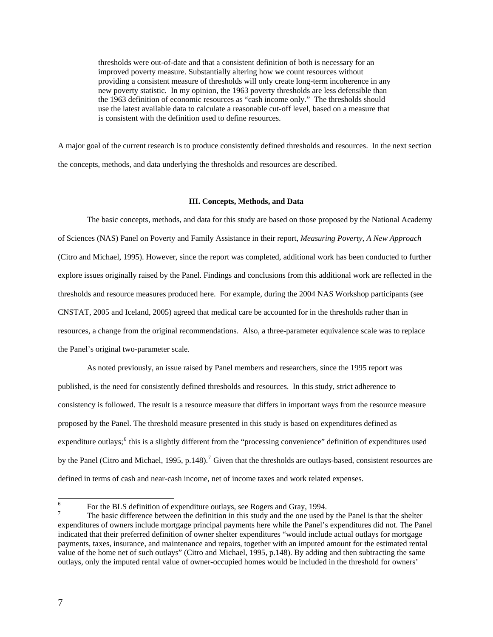thresholds were out-of-date and that a consistent definition of both is necessary for an improved poverty measure. Substantially altering how we count resources without providing a consistent measure of thresholds will only create long-term incoherence in any new poverty statistic. In my opinion, the 1963 poverty thresholds are less defensible than the 1963 definition of economic resources as "cash income only." The thresholds should use the latest available data to calculate a reasonable cut-off level, based on a measure that is consistent with the definition used to define resources.

A major goal of the current research is to produce consistently defined thresholds and resources. In the next section the concepts, methods, and data underlying the thresholds and resources are described.

### **III. Concepts, Methods, and Data**

The basic concepts, methods, and data for this study are based on those proposed by the National Academy of Sciences (NAS) Panel on Poverty and Family Assistance in their report, *Measuring Poverty, A New Approach* (Citro and Michael, 1995). However, since the report was completed, additional work has been conducted to further explore issues originally raised by the Panel. Findings and conclusions from this additional work are reflected in the thresholds and resource measures produced here. For example, during the 2004 NAS Workshop participants (see CNSTAT, 2005 and Iceland, 2005) agreed that medical care be accounted for in the thresholds rather than in resources, a change from the original recommendations. Also, a three-parameter equivalence scale was to replace the Panel's original two-parameter scale.

As noted previously, an issue raised by Panel members and researchers, since the 1995 report was published, is the need for consistently defined thresholds and resources. In this study, strict adherence to consistency is followed. The result is a resource measure that differs in important ways from the resource measure proposed by the Panel. The threshold measure presented in this study is based on expenditures defined as expenditure outlays;<sup>[6](#page-8-0)</sup> this is a slightly different from the "processing convenience" definition of expenditures used by the Panel (Citro and Michael, 1995, p.148).<sup>[7](#page-8-1)</sup> Given that the thresholds are outlays-based, consistent resources are defined in terms of cash and near-cash income, net of income taxes and work related expenses.

<span id="page-8-0"></span> 6 For the BLS definition of expenditure outlays, see Rogers and Gray, 1994.

<span id="page-8-1"></span><sup>7</sup> The basic difference between the definition in this study and the one used by the Panel is that the shelter expenditures of owners include mortgage principal payments here while the Panel's expenditures did not. The Panel indicated that their preferred definition of owner shelter expenditures "would include actual outlays for mortgage payments, taxes, insurance, and maintenance and repairs, together with an imputed amount for the estimated rental value of the home net of such outlays" (Citro and Michael, 1995, p.148). By adding and then subtracting the same outlays, only the imputed rental value of owner-occupied homes would be included in the threshold for owners'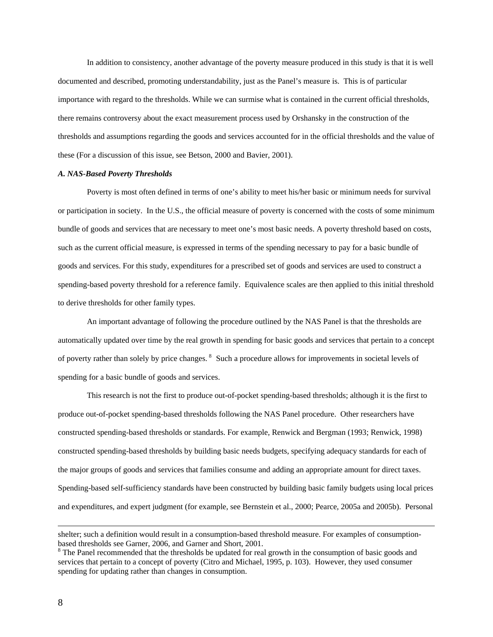In addition to consistency, another advantage of the poverty measure produced in this study is that it is well documented and described, promoting understandability, just as the Panel's measure is. This is of particular importance with regard to the thresholds. While we can surmise what is contained in the current official thresholds, there remains controversy about the exact measurement process used by Orshansky in the construction of the thresholds and assumptions regarding the goods and services accounted for in the official thresholds and the value of these (For a discussion of this issue, see Betson, 2000 and Bavier, 2001).

#### *A. NAS-Based Poverty Thresholds*

Poverty is most often defined in terms of one's ability to meet his/her basic or minimum needs for survival or participation in society. In the U.S., the official measure of poverty is concerned with the costs of some minimum bundle of goods and services that are necessary to meet one's most basic needs. A poverty threshold based on costs, such as the current official measure, is expressed in terms of the spending necessary to pay for a basic bundle of goods and services. For this study, expenditures for a prescribed set of goods and services are used to construct a spending-based poverty threshold for a reference family. Equivalence scales are then applied to this initial threshold to derive thresholds for other family types.

An important advantage of following the procedure outlined by the NAS Panel is that the thresholds are automatically updated over time by the real growth in spending for basic goods and services that pertain to a concept of poverty rather than solely by price changes. <sup>[8](#page-9-0)</sup> Such a procedure allows for improvements in societal levels of spending for a basic bundle of goods and services.

This research is not the first to produce out-of-pocket spending-based thresholds; although it is the first to produce out-of-pocket spending-based thresholds following the NAS Panel procedure. Other researchers have constructed spending-based thresholds or standards. For example, Renwick and Bergman (1993; Renwick, 1998) constructed spending-based thresholds by building basic needs budgets, specifying adequacy standards for each of the major groups of goods and services that families consume and adding an appropriate amount for direct taxes. Spending-based self-sufficiency standards have been constructed by building basic family budgets using local prices and expenditures, and expert judgment (for example, see Bernstein et al., 2000; Pearce, 2005a and 2005b). Personal

l

shelter; such a definition would result in a consumption-based threshold measure. For examples of consumptionbased thresholds see Garner, 2006, and Garner and Short, 2001.

<span id="page-9-0"></span><sup>&</sup>lt;sup>8</sup> The Panel recommended that the thresholds be updated for real growth in the consumption of basic goods and services that pertain to a concept of poverty (Citro and Michael, 1995, p. 103). However, they used consumer spending for updating rather than changes in consumption.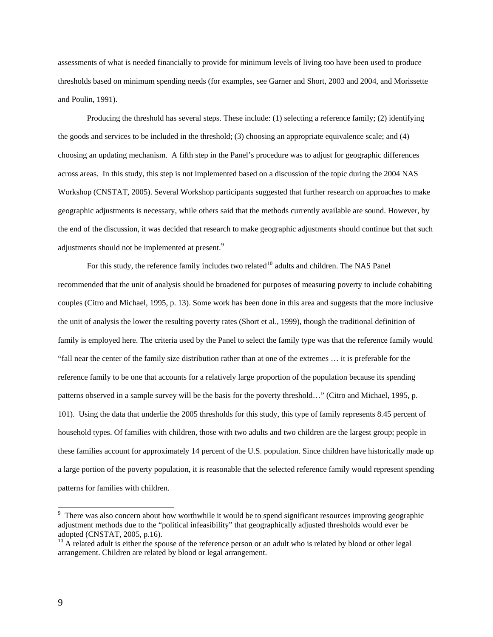assessments of what is needed financially to provide for minimum levels of living too have been used to produce thresholds based on minimum spending needs (for examples, see Garner and Short, 2003 and 2004, and Morissette and Poulin, 1991).

 Producing the threshold has several steps. These include: (1) selecting a reference family; (2) identifying the goods and services to be included in the threshold; (3) choosing an appropriate equivalence scale; and (4) choosing an updating mechanism. A fifth step in the Panel's procedure was to adjust for geographic differences across areas. In this study, this step is not implemented based on a discussion of the topic during the 2004 NAS Workshop (CNSTAT, 2005). Several Workshop participants suggested that further research on approaches to make geographic adjustments is necessary, while others said that the methods currently available are sound. However, by the end of the discussion, it was decided that research to make geographic adjustments should continue but that such adjustments should not be implemented at present.<sup>[9](#page-10-0)</sup>

For this study, the reference family includes two related<sup>[10](#page-10-1)</sup> adults and children. The NAS Panel recommended that the unit of analysis should be broadened for purposes of measuring poverty to include cohabiting couples (Citro and Michael, 1995, p. 13). Some work has been done in this area and suggests that the more inclusive the unit of analysis the lower the resulting poverty rates (Short et al., 1999), though the traditional definition of family is employed here. The criteria used by the Panel to select the family type was that the reference family would "fall near the center of the family size distribution rather than at one of the extremes … it is preferable for the reference family to be one that accounts for a relatively large proportion of the population because its spending patterns observed in a sample survey will be the basis for the poverty threshold…" (Citro and Michael, 1995, p. 101). Using the data that underlie the 2005 thresholds for this study, this type of family represents 8.45 percent of household types. Of families with children, those with two adults and two children are the largest group; people in these families account for approximately 14 percent of the U.S. population. Since children have historically made up a large portion of the poverty population, it is reasonable that the selected reference family would represent spending patterns for families with children.

 $\overline{a}$ 

<span id="page-10-0"></span><sup>&</sup>lt;sup>9</sup> There was also concern about how worthwhile it would be to spend significant resources improving geographic adjustment methods due to the "political infeasibility" that geographically adjusted thresholds would ever be adopted (CNSTAT, 2005, p.16).

<span id="page-10-1"></span> $10$  A related adult is either the spouse of the reference person or an adult who is related by blood or other legal arrangement. Children are related by blood or legal arrangement.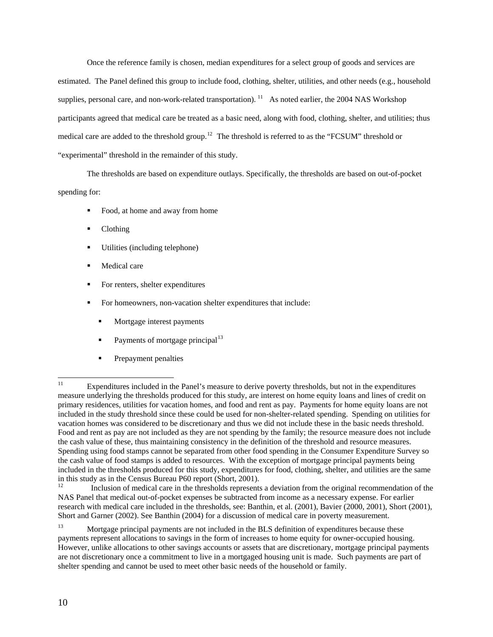Once the reference family is chosen, median expenditures for a select group of goods and services are estimated. The Panel defined this group to include food, clothing, shelter, utilities, and other needs (e.g., household supplies, personal care, and non-work-related transportation).  $11$  As noted earlier, the 2004 NAS Workshop participants agreed that medical care be treated as a basic need, along with food, clothing, shelter, and utilities; thus medical care are added to the threshold group.<sup>[12](#page-11-1)</sup> The threshold is referred to as the "FCSUM" threshold or "experimental" threshold in the remainder of this study.

 The thresholds are based on expenditure outlays. Specifically, the thresholds are based on out-of-pocket spending for:

- Food, at home and away from home
- Clothing
- Utilities (including telephone)
- **Medical care**
- For renters, shelter expenditures
- For homeowners, non-vacation shelter expenditures that include:
	- Mortgage interest payments
	- Payments of mortgage principal<sup>[13](#page-11-2)</sup>
	- Prepayment penalties

<span id="page-11-1"></span>12 Inclusion of medical care in the thresholds represents a deviation from the original recommendation of the NAS Panel that medical out-of-pocket expenses be subtracted from income as a necessary expense. For earlier research with medical care included in the thresholds, see: Banthin, et al. (2001), Bavier (2000, 2001), Short (2001), Short and Garner (2002). See Banthin (2004) for a discussion of medical care in poverty measurement.

<span id="page-11-0"></span> $11$ Expenditures included in the Panel's measure to derive poverty thresholds, but not in the expenditures measure underlying the thresholds produced for this study, are interest on home equity loans and lines of credit on primary residences, utilities for vacation homes, and food and rent as pay. Payments for home equity loans are not included in the study threshold since these could be used for non-shelter-related spending. Spending on utilities for vacation homes was considered to be discretionary and thus we did not include these in the basic needs threshold. Food and rent as pay are not included as they are not spending by the family; the resource measure does not include the cash value of these, thus maintaining consistency in the definition of the threshold and resource measures. Spending using food stamps cannot be separated from other food spending in the Consumer Expenditure Survey so the cash value of food stamps is added to resources. With the exception of mortgage principal payments being included in the thresholds produced for this study, expenditures for food, clothing, shelter, and utilities are the same in this study as in the Census Bureau P60 report (Short, 2001).<br>Inclusion of modical care in the thresholds represented

<span id="page-11-2"></span><sup>13</sup> Mortgage principal payments are not included in the BLS definition of expenditures because these payments represent allocations to savings in the form of increases to home equity for owner-occupied housing. However, unlike allocations to other savings accounts or assets that are discretionary, mortgage principal payments are not discretionary once a commitment to live in a mortgaged housing unit is made. Such payments are part of shelter spending and cannot be used to meet other basic needs of the household or family.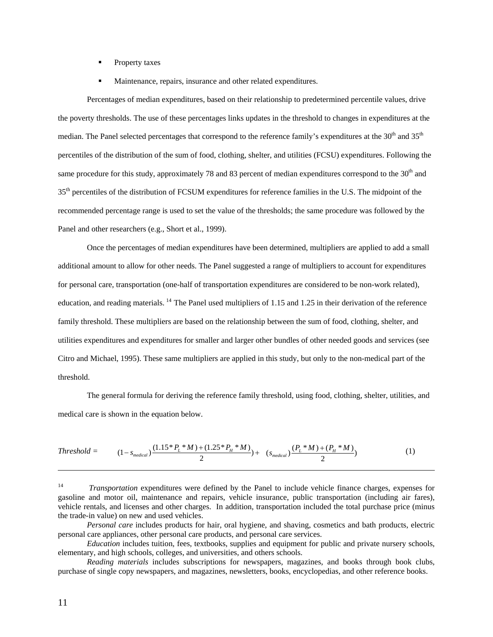- **Property taxes**
- Maintenance, repairs, insurance and other related expenditures.

 Percentages of median expenditures, based on their relationship to predetermined percentile values, drive the poverty thresholds. The use of these percentages links updates in the threshold to changes in expenditures at the median. The Panel selected percentages that correspond to the reference family's expenditures at the 30<sup>th</sup> and 35<sup>th</sup> percentiles of the distribution of the sum of food, clothing, shelter, and utilities (FCSU) expenditures. Following the same procedure for this study, approximately 78 and 83 percent of median expenditures correspond to the  $30<sup>th</sup>$  and 35<sup>th</sup> percentiles of the distribution of FCSUM expenditures for reference families in the U.S. The midpoint of the recommended percentage range is used to set the value of the thresholds; the same procedure was followed by the Panel and other researchers (e.g., Short et al., 1999).

 Once the percentages of median expenditures have been determined, multipliers are applied to add a small additional amount to allow for other needs. The Panel suggested a range of multipliers to account for expenditures for personal care, transportation (one-half of transportation expenditures are considered to be non-work related), education, and reading materials. <sup>[14](#page-12-0)</sup> The Panel used multipliers of 1.15 and 1.25 in their derivation of the reference family threshold. These multipliers are based on the relationship between the sum of food, clothing, shelter, and utilities expenditures and expenditures for smaller and larger other bundles of other needed goods and services (see Citro and Michael, 1995). These same multipliers are applied in this study, but only to the non-medical part of the threshold.

The general formula for deriving the reference family threshold, using food, clothing, shelter, utilities, and medical care is shown in the equation below.

$$
Threshold = (1 - s_{median}) \frac{(1.15 * P_L * M) + (1.25 * P_H * M)}{2}) + (s_{median}) \frac{(P_L * M) + (P_H * M)}{2})
$$
\n(1)

 *Personal care* includes products for hair, oral hygiene, and shaving, cosmetics and bath products, electric personal care appliances, other personal care products, and personal care services.

 *Education* includes tuition, fees, textbooks, supplies and equipment for public and private nursery schools, elementary, and high schools, colleges, and universities, and others schools.

 *Reading materials* includes subscriptions for newspapers, magazines, and books through book clubs, purchase of single copy newspapers, and magazines, newsletters, books, encyclopedias, and other reference books.

l

<span id="page-12-0"></span><sup>14</sup> *Transportation* expenditures were defined by the Panel to include vehicle finance charges, expenses for gasoline and motor oil, maintenance and repairs, vehicle insurance, public transportation (including air fares), vehicle rentals, and licenses and other charges. In addition, transportation included the total purchase price (minus the trade-in value) on new and used vehicles.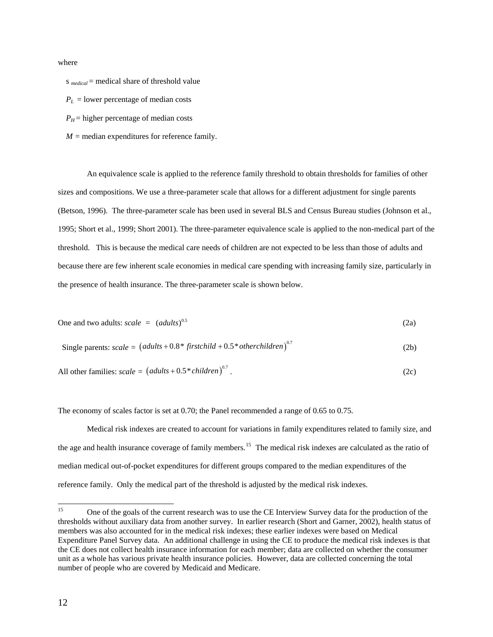where

s *medical* = medical share of threshold value

 $P_L$  = lower percentage of median costs

- $P_H$  = higher percentage of median costs
- $M$  = median expenditures for reference family.

 An equivalence scale is applied to the reference family threshold to obtain thresholds for families of other sizes and compositions. We use a three-parameter scale that allows for a different adjustment for single parents (Betson, 1996). The three-parameter scale has been used in several BLS and Census Bureau studies (Johnson et al., 1995; Short et al., 1999; Short 2001). The three-parameter equivalence scale is applied to the non-medical part of the threshold. This is because the medical care needs of children are not expected to be less than those of adults and because there are few inherent scale economies in medical care spending with increasing family size, particularly in the presence of health insurance. The three-parameter scale is shown below.

One and two adults: 
$$
scale = (adults)^{0.5}
$$
 (2a)

Single parents: 
$$
scale = (adults + 0.8 * firstchild + 0.5 * otherchildren)^{0.7}
$$
 (2b)

All other families: 
$$
scale = (adults + 0.5 * children)^{0.7}
$$
. (2c)

The economy of scales factor is set at 0.70; the Panel recommended a range of 0.65 to 0.75.

Medical risk indexes are created to account for variations in family expenditures related to family size, and the age and health insurance coverage of family members.<sup>[15](#page-13-0)</sup> The medical risk indexes are calculated as the ratio of median medical out-of-pocket expenditures for different groups compared to the median expenditures of the reference family. Only the medical part of the threshold is adjusted by the medical risk indexes.

<span id="page-13-0"></span><sup>15</sup> 15 One of the goals of the current research was to use the CE Interview Survey data for the production of the thresholds without auxiliary data from another survey. In earlier research (Short and Garner, 2002), health status of members was also accounted for in the medical risk indexes; these earlier indexes were based on Medical Expenditure Panel Survey data. An additional challenge in using the CE to produce the medical risk indexes is that the CE does not collect health insurance information for each member; data are collected on whether the consumer unit as a whole has various private health insurance policies. However, data are collected concerning the total number of people who are covered by Medicaid and Medicare.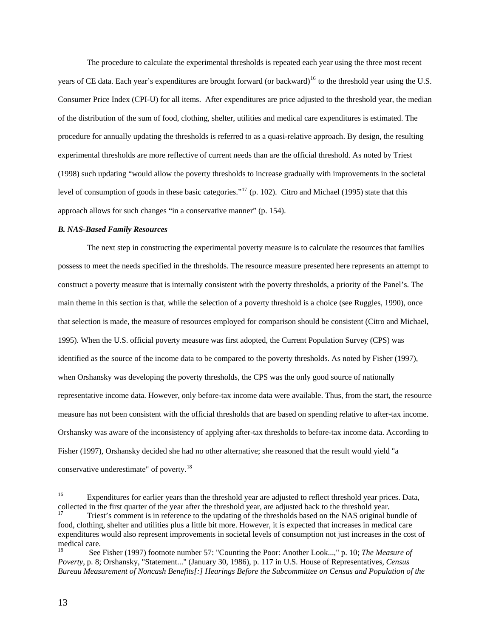The procedure to calculate the experimental thresholds is repeated each year using the three most recent years of CE data. Each year's expenditures are brought forward (or backward)<sup>[16](#page-14-0)</sup> to the threshold year using the U.S. Consumer Price Index (CPI-U) for all items. After expenditures are price adjusted to the threshold year, the median of the distribution of the sum of food, clothing, shelter, utilities and medical care expenditures is estimated. The procedure for annually updating the thresholds is referred to as a quasi-relative approach. By design, the resulting experimental thresholds are more reflective of current needs than are the official threshold. As noted by Triest (1998) such updating "would allow the poverty thresholds to increase gradually with improvements in the societal level of consumption of goods in these basic categories."[17](#page-14-1) (p. 102). Citro and Michael (1995) state that this approach allows for such changes "in a conservative manner" (p. 154).

#### *B. NAS-Based Family Resources*

The next step in constructing the experimental poverty measure is to calculate the resources that families possess to meet the needs specified in the thresholds. The resource measure presented here represents an attempt to construct a poverty measure that is internally consistent with the poverty thresholds, a priority of the Panel's. The main theme in this section is that, while the selection of a poverty threshold is a choice (see Ruggles, 1990), once that selection is made, the measure of resources employed for comparison should be consistent (Citro and Michael, 1995). When the U.S. official poverty measure was first adopted, the Current Population Survey (CPS) was identified as the source of the income data to be compared to the poverty thresholds. As noted by Fisher (1997), when Orshansky was developing the poverty thresholds, the CPS was the only good source of nationally representative income data. However, only before-tax income data were available. Thus, from the start, the resource measure has not been consistent with the official thresholds that are based on spending relative to after-tax income. Orshansky was aware of the inconsistency of applying after-tax thresholds to before-tax income data. According to Fisher (1997), Orshansky decided she had no other alternative; she reasoned that the result would yield "a conservative underestimate" of poverty.[18](#page-14-2)

<span id="page-14-0"></span> $16\,$ Expenditures for earlier years than the threshold year are adjusted to reflect threshold year prices. Data, collected in the first quarter of the year after the threshold year, are adjusted back to the threshold year.<br><sup>17</sup> Triest's comment is in reference to the updating of the thresholds based on the NAS original bundle of

<span id="page-14-1"></span>food, clothing, shelter and utilities plus a little bit more. However, it is expected that increases in medical care expenditures would also represent improvements in societal levels of consumption not just increases in the cost of medical care.

<span id="page-14-2"></span><sup>18</sup> See Fisher (1997) footnote number 57: "Counting the Poor: Another Look...," p. 10; *The Measure of Poverty*, p. 8; Orshansky, "Statement..." (January 30, 1986), p. 117 in U.S. House of Representatives, *Census Bureau Measurement of Noncash Benefits[:] Hearings Before the Subcommittee on Census and Population of the*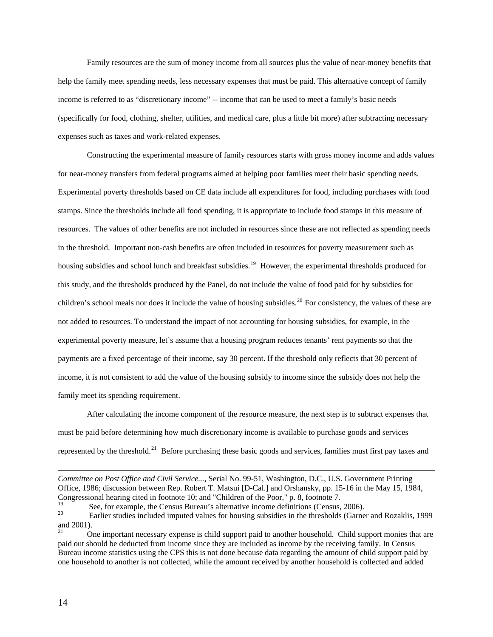Family resources are the sum of money income from all sources plus the value of near-money benefits that help the family meet spending needs, less necessary expenses that must be paid. This alternative concept of family income is referred to as "discretionary income" -- income that can be used to meet a family's basic needs (specifically for food, clothing, shelter, utilities, and medical care, plus a little bit more) after subtracting necessary expenses such as taxes and work-related expenses.

Constructing the experimental measure of family resources starts with gross money income and adds values for near-money transfers from federal programs aimed at helping poor families meet their basic spending needs. Experimental poverty thresholds based on CE data include all expenditures for food, including purchases with food stamps. Since the thresholds include all food spending, it is appropriate to include food stamps in this measure of resources. The values of other benefits are not included in resources since these are not reflected as spending needs in the threshold. Important non-cash benefits are often included in resources for poverty measurement such as housing subsidies and school lunch and breakfast subsidies.<sup>[19](#page-15-0)</sup> However, the experimental thresholds produced for this study, and the thresholds produced by the Panel, do not include the value of food paid for by subsidies for children's school meals nor does it include the value of housing subsidies.<sup>[20](#page-15-1)</sup> For consistency, the values of these are not added to resources. To understand the impact of not accounting for housing subsidies, for example, in the experimental poverty measure, let's assume that a housing program reduces tenants' rent payments so that the payments are a fixed percentage of their income, say 30 percent. If the threshold only reflects that 30 percent of income, it is not consistent to add the value of the housing subsidy to income since the subsidy does not help the family meet its spending requirement.

After calculating the income component of the resource measure, the next step is to subtract expenses that must be paid before determining how much discretionary income is available to purchase goods and services represented by the threshold.<sup>[21](#page-15-2)</sup> Before purchasing these basic goods and services, families must first pay taxes and

l

*Committee on Post Office and Civil Service...*, Serial No. 99-51, Washington, D.C., U.S. Government Printing Office, 1986; discussion between Rep. Robert T. Matsui [D-Cal.] and Orshansky, pp. 15-16 in the May 15, 1984, Congressional hearing cited in footnote 10; and "Children of the Poor," p. 8, footnote 7.

<span id="page-15-1"></span><span id="page-15-0"></span><sup>&</sup>lt;sup>19</sup> See, for example, the Census Bureau's alternative income definitions (Census, 2006).<br><sup>20</sup> Earlier studies included imputed values for housing subsidies in the thresholds (Garner and Rozaklis, 1999 and 2001).

<span id="page-15-2"></span><sup>21</sup> One important necessary expense is child support paid to another household. Child support monies that are paid out should be deducted from income since they are included as income by the receiving family. In Census Bureau income statistics using the CPS this is not done because data regarding the amount of child support paid by one household to another is not collected, while the amount received by another household is collected and added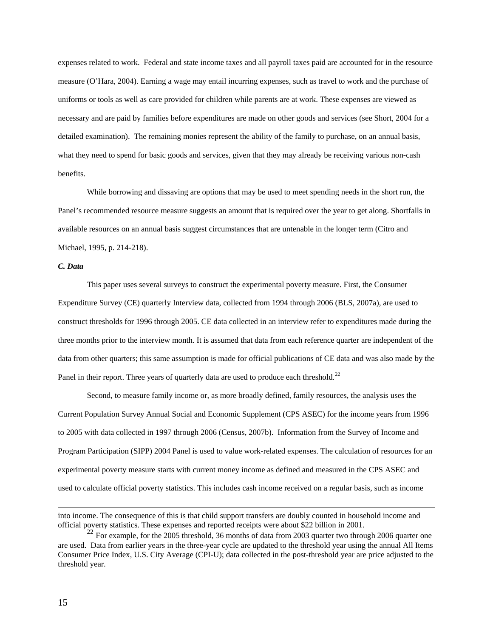expenses related to work. Federal and state income taxes and all payroll taxes paid are accounted for in the resource measure (O'Hara, 2004). Earning a wage may entail incurring expenses, such as travel to work and the purchase of uniforms or tools as well as care provided for children while parents are at work. These expenses are viewed as necessary and are paid by families before expenditures are made on other goods and services (see Short, 2004 for a detailed examination). The remaining monies represent the ability of the family to purchase, on an annual basis, what they need to spend for basic goods and services, given that they may already be receiving various non-cash benefits.

While borrowing and dissaving are options that may be used to meet spending needs in the short run, the Panel's recommended resource measure suggests an amount that is required over the year to get along. Shortfalls in available resources on an annual basis suggest circumstances that are untenable in the longer term (Citro and Michael, 1995, p. 214-218).

## *C. Data*

This paper uses several surveys to construct the experimental poverty measure. First, the Consumer Expenditure Survey (CE) quarterly Interview data, collected from 1994 through 2006 (BLS, 2007a), are used to construct thresholds for 1996 through 2005. CE data collected in an interview refer to expenditures made during the three months prior to the interview month. It is assumed that data from each reference quarter are independent of the data from other quarters; this same assumption is made for official publications of CE data and was also made by the Panel in their report. Three years of quarterly data are used to produce each threshold.<sup>[22](#page-16-0)</sup>

Second, to measure family income or, as more broadly defined, family resources, the analysis uses the Current Population Survey Annual Social and Economic Supplement (CPS ASEC) for the income years from 1996 to 2005 with data collected in 1997 through 2006 (Census, 2007b). Information from the Survey of Income and Program Participation (SIPP) 2004 Panel is used to value work-related expenses. The calculation of resources for an experimental poverty measure starts with current money income as defined and measured in the CPS ASEC and used to calculate official poverty statistics. This includes cash income received on a regular basis, such as income

 $\overline{\phantom{a}}$ 

into income. The consequence of this is that child support transfers are doubly counted in household income and official poverty statistics. These expenses and reported receipts were about \$22 billion in 2001.

<span id="page-16-0"></span> $^{22}$  For example, for the 2005 threshold, 36 months of data from 2003 quarter two through 2006 quarter one are used. Data from earlier years in the three-year cycle are updated to the threshold year using the annual All Items Consumer Price Index, U.S. City Average (CPI-U); data collected in the post-threshold year are price adjusted to the threshold year.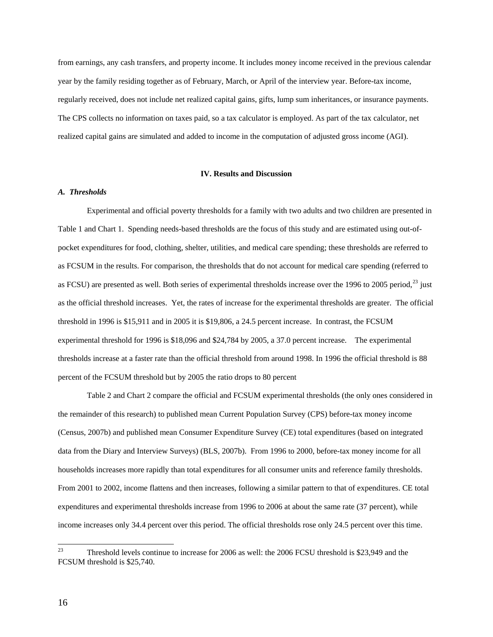from earnings, any cash transfers, and property income. It includes money income received in the previous calendar year by the family residing together as of February, March, or April of the interview year. Before-tax income, regularly received, does not include net realized capital gains, gifts, lump sum inheritances, or insurance payments. The CPS collects no information on taxes paid, so a tax calculator is employed. As part of the tax calculator, net realized capital gains are simulated and added to income in the computation of adjusted gross income (AGI).

## **IV. Results and Discussion**

## *A. Thresholds*

Experimental and official poverty thresholds for a family with two adults and two children are presented in Table 1 and Chart 1. Spending needs-based thresholds are the focus of this study and are estimated using out-ofpocket expenditures for food, clothing, shelter, utilities, and medical care spending; these thresholds are referred to as FCSUM in the results. For comparison, the thresholds that do not account for medical care spending (referred to as FCSU) are presented as well. Both series of experimental thresholds increase over the 1996 to 2005 period,<sup>[23](#page-17-0)</sup> just as the official threshold increases. Yet, the rates of increase for the experimental thresholds are greater. The official threshold in 1996 is \$15,911 and in 2005 it is \$19,806, a 24.5 percent increase. In contrast, the FCSUM experimental threshold for 1996 is \$18,096 and \$24,784 by 2005, a 37.0 percent increase. The experimental thresholds increase at a faster rate than the official threshold from around 1998. In 1996 the official threshold is 88 percent of the FCSUM threshold but by 2005 the ratio drops to 80 percent

Table 2 and Chart 2 compare the official and FCSUM experimental thresholds (the only ones considered in the remainder of this research) to published mean Current Population Survey (CPS) before-tax money income (Census, 2007b) and published mean Consumer Expenditure Survey (CE) total expenditures (based on integrated data from the Diary and Interview Surveys) (BLS, 2007b). From 1996 to 2000, before-tax money income for all households increases more rapidly than total expenditures for all consumer units and reference family thresholds. From 2001 to 2002, income flattens and then increases, following a similar pattern to that of expenditures. CE total expenditures and experimental thresholds increase from 1996 to 2006 at about the same rate (37 percent), while income increases only 34.4 percent over this period. The official thresholds rose only 24.5 percent over this time.

<span id="page-17-0"></span><sup>23</sup> 23 Threshold levels continue to increase for 2006 as well: the 2006 FCSU threshold is \$23,949 and the FCSUM threshold is \$25,740.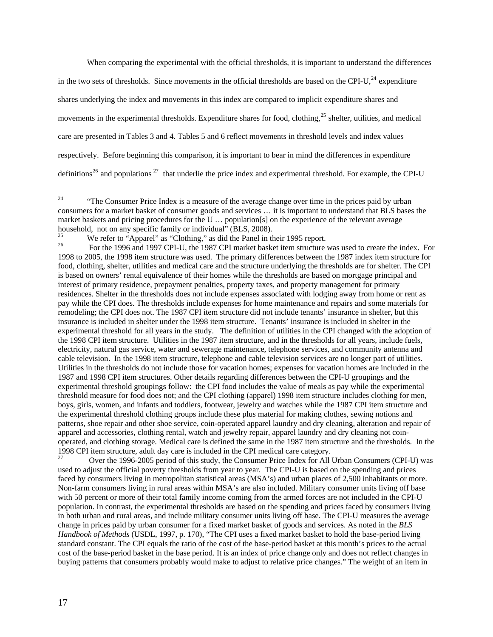When comparing the experimental with the official thresholds, it is important to understand the differences

in the two sets of thresholds. Since movements in the official thresholds are based on the CPI-U, $^{24}$  $^{24}$  $^{24}$  expenditure shares underlying the index and movements in this index are compared to implicit expenditure shares and movements in the experimental thresholds. Expenditure shares for food, clothing, $^{25}$  $^{25}$  $^{25}$  shelter, utilities, and medical care are presented in Tables 3 and 4. Tables 5 and 6 reflect movements in threshold levels and index values respectively. Before beginning this comparison, it is important to bear in mind the differences in expenditure definitions<sup>[26](#page-18-2)</sup> and populations<sup>[27](#page-18-3)</sup> that underlie the price index and experimental threshold. For example, the CPI-U

<span id="page-18-3"></span><sup>27</sup> Over the 1996-2005 period of this study, the Consumer Price Index for All Urban Consumers (CPI-U) was used to adjust the official poverty thresholds from year to year. The CPI-U is based on the spending and prices faced by consumers living in metropolitan statistical areas (MSA's) and urban places of 2,500 inhabitants or more. Non-farm consumers living in rural areas within MSA's are also included. Military consumer units living off base with 50 percent or more of their total family income coming from the armed forces are not included in the CPI-U population. In contrast, the experimental thresholds are based on the spending and prices faced by consumers living in both urban and rural areas, and include military consumer units living off base. The CPI-U measures the average change in prices paid by urban consumer for a fixed market basket of goods and services. As noted in the *BLS Handbook of Methods* (USDL, 1997, p. 170), "The CPI uses a fixed market basket to hold the base-period living standard constant. The CPI equals the ratio of the cost of the base-period basket at this month's prices to the actual cost of the base-period basket in the base period. It is an index of price change only and does not reflect changes in buying patterns that consumers probably would make to adjust to relative price changes." The weight of an item in

<span id="page-18-0"></span> $24$ 24 "The Consumer Price Index is a measure of the average change over time in the prices paid by urban consumers for a market basket of consumer goods and services … it is important to understand that BLS bases the market baskets and pricing procedures for the U … population[s] on the experience of the relevant average household, not on any specific family or individual" (BLS, 2008).

<span id="page-18-2"></span><span id="page-18-1"></span><sup>&</sup>lt;sup>25</sup> We refer to "Apparel" as "Clothing," as did the Panel in their 1995 report.<br><sup>26</sup> For the 1996 and 1997 CPI-U, the 1987 CPI market basket item structure was used to create the index. For 1998 to 2005, the 1998 item structure was used. The primary differences between the 1987 index item structure for food, clothing, shelter, utilities and medical care and the structure underlying the thresholds are for shelter. The CPI is based on owners' rental equivalence of their homes while the thresholds are based on mortgage principal and interest of primary residence, prepayment penalties, property taxes, and property management for primary residences. Shelter in the thresholds does not include expenses associated with lodging away from home or rent as pay while the CPI does. The thresholds include expenses for home maintenance and repairs and some materials for remodeling; the CPI does not. The 1987 CPI item structure did not include tenants' insurance in shelter, but this insurance is included in shelter under the 1998 item structure. Tenants' insurance is included in shelter in the experimental threshold for all years in the study. The definition of utilities in the CPI changed with the adoption of the 1998 CPI item structure. Utilities in the 1987 item structure, and in the thresholds for all years, include fuels, electricity, natural gas service, water and sewerage maintenance, telephone services, and community antenna and cable television. In the 1998 item structure, telephone and cable television services are no longer part of utilities. Utilities in the thresholds do not include those for vacation homes; expenses for vacation homes are included in the 1987 and 1998 CPI item structures. Other details regarding differences between the CPI-U groupings and the experimental threshold groupings follow: the CPI food includes the value of meals as pay while the experimental threshold measure for food does not; and the CPI clothing (apparel) 1998 item structure includes clothing for men, boys, girls, women, and infants and toddlers, footwear, jewelry and watches while the 1987 CPI item structure and the experimental threshold clothing groups include these plus material for making clothes, sewing notions and patterns, shoe repair and other shoe service, coin-operated apparel laundry and dry cleaning, alteration and repair of apparel and accessories, clothing rental, watch and jewelry repair, apparel laundry and dry cleaning not coinoperated, and clothing storage. Medical care is defined the same in the 1987 item structure and the thresholds. In the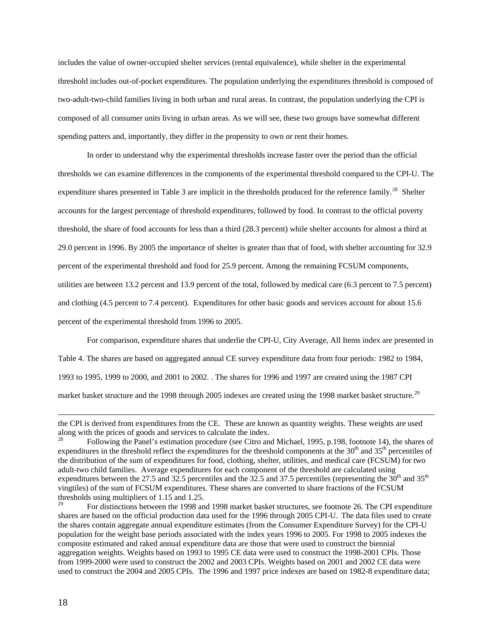includes the value of owner-occupied shelter services (rental equivalence), while shelter in the experimental threshold includes out-of-pocket expenditures. The population underlying the expenditures threshold is composed of two-adult-two-child families living in both urban and rural areas. In contrast, the population underlying the CPI is composed of all consumer units living in urban areas. As we will see, these two groups have somewhat different spending patters and, importantly, they differ in the propensity to own or rent their homes.

 In order to understand why the experimental thresholds increase faster over the period than the official thresholds we can examine differences in the components of the experimental threshold compared to the CPI-U. The expenditure shares presented in Table 3 are implicit in the thresholds produced for the reference family.<sup>[28](#page-19-0)</sup> Shelter accounts for the largest percentage of threshold expenditures, followed by food. In contrast to the official poverty threshold, the share of food accounts for less than a third (28.3 percent) while shelter accounts for almost a third at 29.0 percent in 1996. By 2005 the importance of shelter is greater than that of food, with shelter accounting for 32.9 percent of the experimental threshold and food for 25.9 percent. Among the remaining FCSUM components, utilities are between 13.2 percent and 13.9 percent of the total, followed by medical care (6.3 percent to 7.5 percent) and clothing (4.5 percent to 7.4 percent). Expenditures for other basic goods and services account for about 15.6 percent of the experimental threshold from 1996 to 2005.

For comparison, expenditure shares that underlie the CPI-U, City Average, All Items index are presented in Table 4. The shares are based on aggregated annual CE survey expenditure data from four periods: 1982 to 1984, 1993 to 1995, 1999 to 2000, and 2001 to 2002. . The shares for 1996 and 1997 are created using the 1987 CPI market basket structure and the 1998 through 2005 indexes are created using the 1998 market basket structure.<sup>[29](#page-19-1)</sup>

l

the CPI is derived from expenditures from the CE. These are known as quantity weights. These weights are used along with the prices of goods and services to calculate the index.<br><sup>28</sup> Following the Panel's estimation procedure (see Citro and Michael, 1995, p.198, footnote 14), the shares of

<span id="page-19-0"></span>expenditures in the threshold reflect the expenditures for the threshold components at the  $30<sup>th</sup>$  and  $35<sup>th</sup>$  percentiles of the distribution of the sum of expenditures for food, clothing, shelter, utilities, and medical care (FCSUM) for two adult-two child families. Average expenditures for each component of the threshold are calculated using expenditures between the 27.5 and 32.5 percentiles and the 32.5 and 37.5 percentiles (representing the  $30<sup>th</sup>$  and 35<sup>th</sup> vingtiles) of the sum of FCSUM expenditures. These shares are converted to share fractions of the FCSUM thresholds using multipliers of 1.15 and 1.25.

<span id="page-19-1"></span><sup>29</sup> For distinctions between the 1998 and 1998 market basket structures, see footnote 26. The CPI expenditure shares are based on the official production data used for the 1996 through 2005 CPI-U. The data files used to create the shares contain aggregate annual expenditure estimates (from the Consumer Expenditure Survey) for the CPI-U population for the weight base periods associated with the index years 1996 to 2005. For 1998 to 2005 indexes the composite estimated and raked annual expenditure data are those that were used to construct the biennial aggregation weights. Weights based on 1993 to 1995 CE data were used to construct the 1998-2001 CPIs. Those from 1999-2000 were used to construct the 2002 and 2003 CPIs. Weights based on 2001 and 2002 CE data were used to construct the 2004 and 2005 CPIs. The 1996 and 1997 price indexes are based on 1982-8 expenditure data;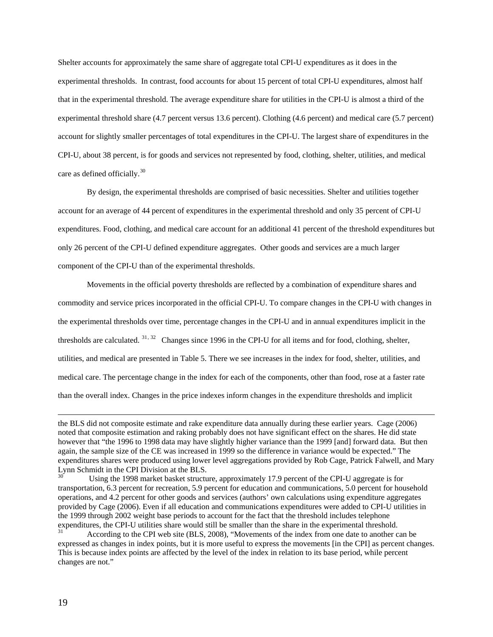Shelter accounts for approximately the same share of aggregate total CPI-U expenditures as it does in the experimental thresholds. In contrast, food accounts for about 15 percent of total CPI-U expenditures, almost half that in the experimental threshold. The average expenditure share for utilities in the CPI-U is almost a third of the experimental threshold share (4.7 percent versus 13.6 percent). Clothing (4.6 percent) and medical care (5.7 percent) account for slightly smaller percentages of total expenditures in the CPI-U. The largest share of expenditures in the CPI-U, about 38 percent, is for goods and services not represented by food, clothing, shelter, utilities, and medical care as defined officially.<sup>[30](#page-20-0)</sup>

By design, the experimental thresholds are comprised of basic necessities. Shelter and utilities together account for an average of 44 percent of expenditures in the experimental threshold and only 35 percent of CPI-U expenditures. Food, clothing, and medical care account for an additional 41 percent of the threshold expenditures but only 26 percent of the CPI-U defined expenditure aggregates. Other goods and services are a much larger component of the CPI-U than of the experimental thresholds.

Movements in the official poverty thresholds are reflected by a combination of expenditure shares and commodity and service prices incorporated in the official CPI-U. To compare changes in the CPI-U with changes in the experimental thresholds over time, percentage changes in the CPI-U and in annual expenditures implicit in the thresholds are calculated. <sup>[31](#page-20-1), [32](#page-20-2)</sup> Changes since 1996 in the CPI-U for all items and for food, clothing, shelter, utilities, and medical are presented in Table 5. There we see increases in the index for food, shelter, utilities, and medical care. The percentage change in the index for each of the components, other than food, rose at a faster rate than the overall index. Changes in the price indexes inform changes in the expenditure thresholds and implicit

l

<span id="page-20-2"></span>the BLS did not composite estimate and rake expenditure data annually during these earlier years. Cage (2006) noted that composite estimation and raking probably does not have significant effect on the shares. He did state however that "the 1996 to 1998 data may have slightly higher variance than the 1999 [and] forward data. But then again, the sample size of the CE was increased in 1999 so the difference in variance would be expected." The expenditures shares were produced using lower level aggregations provided by Rob Cage, Patrick Falwell, and Mary Lynn Schmidt in the CPI Division at the BLS.

<span id="page-20-0"></span>Using the 1998 market basket structure, approximately 17.9 percent of the CPI-U aggregate is for transportation, 6.3 percent for recreation, 5.9 percent for education and communications, 5.0 percent for household operations, and 4.2 percent for other goods and services (authors' own calculations using expenditure aggregates provided by Cage (2006). Even if all education and communications expenditures were added to CPI-U utilities in the 1999 through 2002 weight base periods to account for the fact that the threshold includes telephone expenditures, the CPI-U utilities share would still be smaller than the share in the experimental threshold.

<span id="page-20-1"></span>According to the CPI web site (BLS, 2008), "Movements of the index from one date to another can be expressed as changes in index points, but it is more useful to express the movements [in the CPI] as percent changes. This is because index points are affected by the level of the index in relation to its base period, while percent changes are not."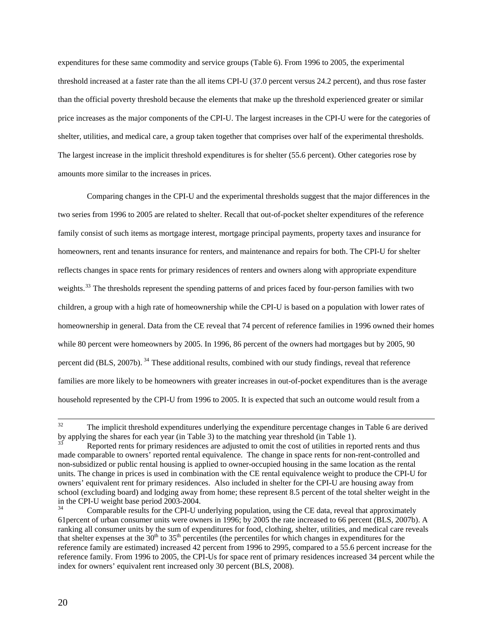expenditures for these same commodity and service groups (Table 6). From 1996 to 2005, the experimental threshold increased at a faster rate than the all items CPI-U (37.0 percent versus 24.2 percent), and thus rose faster than the official poverty threshold because the elements that make up the threshold experienced greater or similar price increases as the major components of the CPI-U. The largest increases in the CPI-U were for the categories of shelter, utilities, and medical care, a group taken together that comprises over half of the experimental thresholds. The largest increase in the implicit threshold expenditures is for shelter (55.6 percent). Other categories rose by amounts more similar to the increases in prices.

Comparing changes in the CPI-U and the experimental thresholds suggest that the major differences in the two series from 1996 to 2005 are related to shelter. Recall that out-of-pocket shelter expenditures of the reference family consist of such items as mortgage interest, mortgage principal payments, property taxes and insurance for homeowners, rent and tenants insurance for renters, and maintenance and repairs for both. The CPI-U for shelter reflects changes in space rents for primary residences of renters and owners along with appropriate expenditure weights.<sup>[33](#page-21-0)</sup> The thresholds represent the spending patterns of and prices faced by four-person families with two children, a group with a high rate of homeownership while the CPI-U is based on a population with lower rates of homeownership in general. Data from the CE reveal that 74 percent of reference families in 1996 owned their homes while 80 percent were homeowners by 2005. In 1996, 86 percent of the owners had mortgages but by 2005, 90 percent did (BLS, 2007b). [34](#page-21-1) These additional results, combined with our study findings, reveal that reference families are more likely to be homeowners with greater increases in out-of-pocket expenditures than is the average household represented by the CPI-U from 1996 to 2005. It is expected that such an outcome would result from a

<sup>32</sup> The implicit threshold expenditures underlying the expenditure percentage changes in Table 6 are derived by applying the shares for each year (in Table 3) to the matching year threshold (in Table 1).<br><sup>33</sup> Reported rents for primary residences are adjusted to omit the cost of utilities in reported rents and thus

<span id="page-21-0"></span>made comparable to owners' reported rental equivalence. The change in space rents for non-rent-controlled and non-subsidized or public rental housing is applied to owner-occupied housing in the same location as the rental units. The change in prices is used in combination with the CE rental equivalence weight to produce the CPI-U for owners' equivalent rent for primary residences. Also included in shelter for the CPI-U are housing away from school (excluding board) and lodging away from home; these represent 8.5 percent of the total shelter weight in the in the CPI-U weight base period 2003-2004.

<span id="page-21-1"></span>Comparable results for the CPI-U underlying population, using the CE data, reveal that approximately 61percent of urban consumer units were owners in 1996; by 2005 the rate increased to 66 percent (BLS, 2007b). A ranking all consumer units by the sum of expenditures for food, clothing, shelter, utilities, and medical care reveals that shelter expenses at the  $30<sup>th</sup>$  to  $35<sup>th</sup>$  percentiles (the percentiles for which changes in expenditures for the reference family are estimated) increased 42 percent from 1996 to 2995, compared to a 55.6 percent increase for the reference family. From 1996 to 2005, the CPI-Us for space rent of primary residences increased 34 percent while the index for owners' equivalent rent increased only 30 percent (BLS, 2008).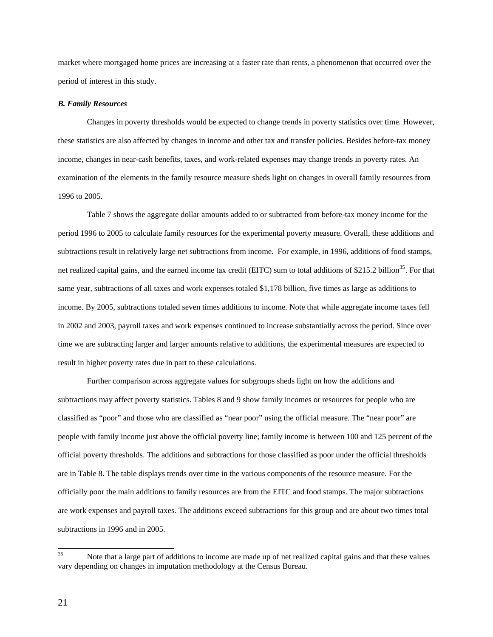market where mortgaged home prices are increasing at a faster rate than rents, a phenomenon that occurred over the period of interest in this study.

### *B. Family Resources*

Changes in poverty thresholds would be expected to change trends in poverty statistics over time. However, these statistics are also affected by changes in income and other tax and transfer policies. Besides before-tax money income, changes in near-cash benefits, taxes, and work-related expenses may change trends in poverty rates. An examination of the elements in the family resource measure sheds light on changes in overall family resources from 1996 to 2005.

 Table 7 shows the aggregate dollar amounts added to or subtracted from before-tax money income for the period 1996 to 2005 to calculate family resources for the experimental poverty measure. Overall, these additions and subtractions result in relatively large net subtractions from income. For example, in 1996, additions of food stamps, net realized capital gains, and the earned income tax credit (EITC) sum to total additions of \$215.2 billion<sup>[35](#page-22-0)</sup>. For that same year, subtractions of all taxes and work expenses totaled \$1,178 billion, five times as large as additions to income. By 2005, subtractions totaled seven times additions to income. Note that while aggregate income taxes fell in 2002 and 2003, payroll taxes and work expenses continued to increase substantially across the period. Since over time we are subtracting larger and larger amounts relative to additions, the experimental measures are expected to result in higher poverty rates due in part to these calculations.

 Further comparison across aggregate values for subgroups sheds light on how the additions and subtractions may affect poverty statistics. Tables 8 and 9 show family incomes or resources for people who are classified as "poor" and those who are classified as "near poor" using the official measure. The "near poor" are people with family income just above the official poverty line; family income is between 100 and 125 percent of the official poverty thresholds. The additions and subtractions for those classified as poor under the official thresholds are in Table 8. The table displays trends over time in the various components of the resource measure. For the officially poor the main additions to family resources are from the EITC and food stamps. The major subtractions are work expenses and payroll taxes. The additions exceed subtractions for this group and are about two times total subtractions in 1996 and in 2005.

<span id="page-22-0"></span><sup>35</sup> Note that a large part of additions to income are made up of net realized capital gains and that these values vary depending on changes in imputation methodology at the Census Bureau.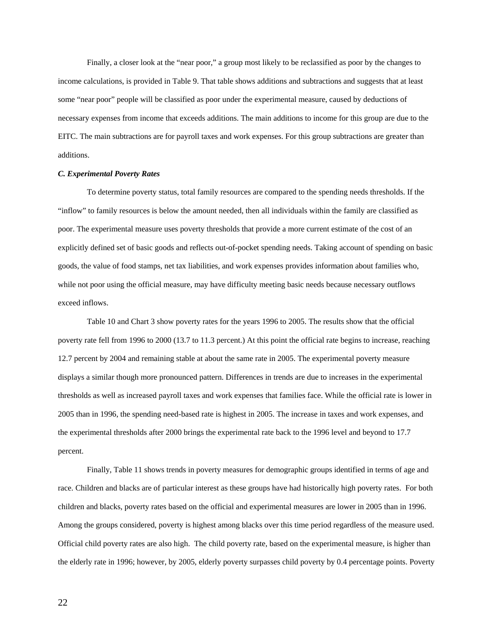Finally, a closer look at the "near poor," a group most likely to be reclassified as poor by the changes to income calculations, is provided in Table 9. That table shows additions and subtractions and suggests that at least some "near poor" people will be classified as poor under the experimental measure, caused by deductions of necessary expenses from income that exceeds additions. The main additions to income for this group are due to the EITC. The main subtractions are for payroll taxes and work expenses. For this group subtractions are greater than additions.

### *C. Experimental Poverty Rates*

To determine poverty status, total family resources are compared to the spending needs thresholds. If the "inflow" to family resources is below the amount needed, then all individuals within the family are classified as poor. The experimental measure uses poverty thresholds that provide a more current estimate of the cost of an explicitly defined set of basic goods and reflects out-of-pocket spending needs. Taking account of spending on basic goods, the value of food stamps, net tax liabilities, and work expenses provides information about families who, while not poor using the official measure, may have difficulty meeting basic needs because necessary outflows exceed inflows.

 Table 10 and Chart 3 show poverty rates for the years 1996 to 2005. The results show that the official poverty rate fell from 1996 to 2000 (13.7 to 11.3 percent.) At this point the official rate begins to increase, reaching 12.7 percent by 2004 and remaining stable at about the same rate in 2005. The experimental poverty measure displays a similar though more pronounced pattern. Differences in trends are due to increases in the experimental thresholds as well as increased payroll taxes and work expenses that families face. While the official rate is lower in 2005 than in 1996, the spending need-based rate is highest in 2005. The increase in taxes and work expenses, and the experimental thresholds after 2000 brings the experimental rate back to the 1996 level and beyond to 17.7 percent.

 Finally, Table 11 shows trends in poverty measures for demographic groups identified in terms of age and race. Children and blacks are of particular interest as these groups have had historically high poverty rates. For both children and blacks, poverty rates based on the official and experimental measures are lower in 2005 than in 1996. Among the groups considered, poverty is highest among blacks over this time period regardless of the measure used. Official child poverty rates are also high. The child poverty rate, based on the experimental measure, is higher than the elderly rate in 1996; however, by 2005, elderly poverty surpasses child poverty by 0.4 percentage points. Poverty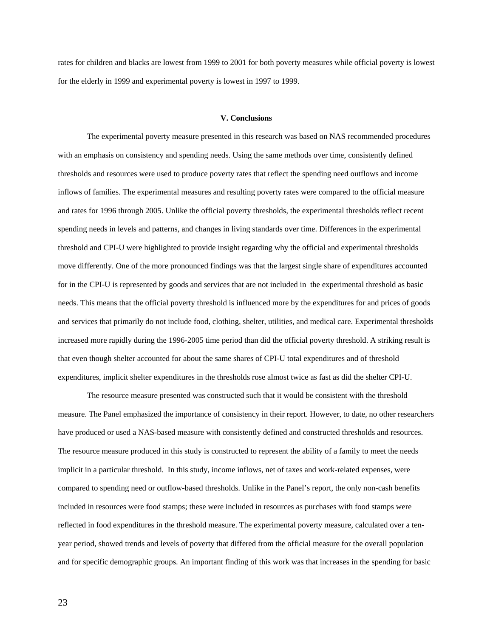rates for children and blacks are lowest from 1999 to 2001 for both poverty measures while official poverty is lowest for the elderly in 1999 and experimental poverty is lowest in 1997 to 1999.

#### **V. Conclusions**

The experimental poverty measure presented in this research was based on NAS recommended procedures with an emphasis on consistency and spending needs. Using the same methods over time, consistently defined thresholds and resources were used to produce poverty rates that reflect the spending need outflows and income inflows of families. The experimental measures and resulting poverty rates were compared to the official measure and rates for 1996 through 2005. Unlike the official poverty thresholds, the experimental thresholds reflect recent spending needs in levels and patterns, and changes in living standards over time. Differences in the experimental threshold and CPI-U were highlighted to provide insight regarding why the official and experimental thresholds move differently. One of the more pronounced findings was that the largest single share of expenditures accounted for in the CPI-U is represented by goods and services that are not included in the experimental threshold as basic needs. This means that the official poverty threshold is influenced more by the expenditures for and prices of goods and services that primarily do not include food, clothing, shelter, utilities, and medical care. Experimental thresholds increased more rapidly during the 1996-2005 time period than did the official poverty threshold. A striking result is that even though shelter accounted for about the same shares of CPI-U total expenditures and of threshold expenditures, implicit shelter expenditures in the thresholds rose almost twice as fast as did the shelter CPI-U.

The resource measure presented was constructed such that it would be consistent with the threshold measure. The Panel emphasized the importance of consistency in their report. However, to date, no other researchers have produced or used a NAS-based measure with consistently defined and constructed thresholds and resources. The resource measure produced in this study is constructed to represent the ability of a family to meet the needs implicit in a particular threshold. In this study, income inflows, net of taxes and work-related expenses, were compared to spending need or outflow-based thresholds. Unlike in the Panel's report, the only non-cash benefits included in resources were food stamps; these were included in resources as purchases with food stamps were reflected in food expenditures in the threshold measure. The experimental poverty measure, calculated over a tenyear period, showed trends and levels of poverty that differed from the official measure for the overall population and for specific demographic groups. An important finding of this work was that increases in the spending for basic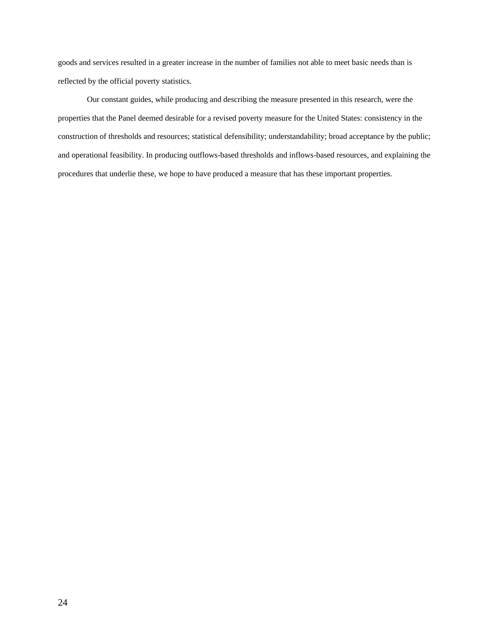goods and services resulted in a greater increase in the number of families not able to meet basic needs than is reflected by the official poverty statistics.

Our constant guides, while producing and describing the measure presented in this research, were the properties that the Panel deemed desirable for a revised poverty measure for the United States: consistency in the construction of thresholds and resources; statistical defensibility; understandability; broad acceptance by the public; and operational feasibility. In producing outflows-based thresholds and inflows-based resources, and explaining the procedures that underlie these, we hope to have produced a measure that has these important properties.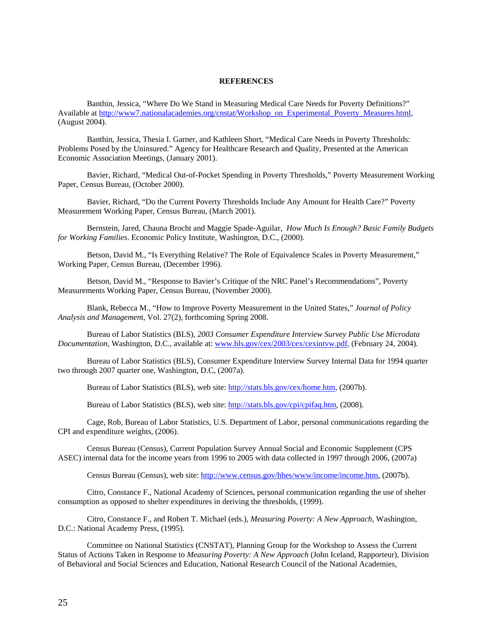### **REFERENCES**

Banthin, Jessica, "Where Do We Stand in Measuring Medical Care Needs for Poverty Definitions?" Available at [http://www7.nationalacademies.org/cnstat/Workshop\\_on\\_Experimental\\_Poverty\\_Measures.html,](http://www7.nationalacademies.org/cnstat/Workshop_on_Experimental_Poverty_Measures.html) (August 2004).

Banthin, Jessica, Thesia I. Garner, and Kathleen Short, "Medical Care Needs in Poverty Thresholds: Problems Posed by the Uninsured." Agency for Healthcare Research and Quality, Presented at the American Economic Association Meetings, (January 2001).

Bavier, Richard, "Medical Out-of-Pocket Spending in Poverty Thresholds," Poverty Measurement Working Paper, Census Bureau, (October 2000).

Bavier, Richard, "Do the Current Poverty Thresholds Include Any Amount for Health Care?" Poverty Measurement Working Paper, Census Bureau, (March 2001).

Bernstein, Jared, Chauna Brocht and Maggie Spade-Aguilar, *How Much Is Enough? Basic Family Budgets for Working Families*. Economic Policy Institute, Washington, D.C., (2000).

Betson, David M., "Is Everything Relative? The Role of Equivalence Scales in Poverty Measurement," Working Paper, Census Bureau, (December 1996).

Betson, David M., "Response to Bavier's Critique of the NRC Panel's Recommendations", Poverty Measurements Working Paper, Census Bureau, (November 2000).

Blank, Rebecca M., "How to Improve Poverty Measurement in the United States," *Journal of Policy Analysis and Managemen*t, Vol. 27(2), forthcoming Spring 2008.

Bureau of Labor Statistics (BLS), *2003 Consumer Expenditure Interview Survey Public Use Microdata Documentation*, Washington, D.C., available at: [www.bls.gov/cex/2003/cex/cexintvw.pdf,](http://www.bls.gov/cex/2003/cex/cexintvw.pdf) (February 24, 2004).

Bureau of Labor Statistics (BLS), Consumer Expenditure Interview Survey Internal Data for 1994 quarter two through 2007 quarter one, Washington, D.C, (2007a).

Bureau of Labor Statistics (BLS), web site: [http://stats.bls.gov/cex/home.htm,](http://stats.bls.gov/cex/home.htm) (2007b).

Bureau of Labor Statistics (BLS), web site: [http://stats.bls.gov/cpi/cpifaq.htm,](http://stats.bls.gov/cpi/cpifaq.htm) (2008).

Cage, Rob, Bureau of Labor Statistics, U.S. Department of Labor, personal communications regarding the CPI and expenditure weights, (2006).

Census Bureau (Census), Current Population Survey Annual Social and Economic Supplement (CPS ASEC) internal data for the income years from 1996 to 2005 with data collected in 1997 through 2006, (2007a)

Census Bureau (Census), web site: [http://www.census.gov/hhes/www/income/income.htm,](http://www.census.gov/hhes/www/income/income.htm) (2007b).

Citro, Constance F., National Academy of Sciences, personal communication regarding the use of shelter consumption as opposed to shelter expenditures in deriving the thresholds, (1999).

Citro, Constance F., and Robert T. Michael (eds.), *Measuring Poverty: A New Approach*, Washington, D.C.: National Academy Press, (1995).

Committee on National Statistics (CNSTAT), Planning Group for the Workshop to Assess the Current Status of Actions Taken in Response to *Measuring Poverty: A New Approach* (John Iceland, Rapporteur), Division of Behavioral and Social Sciences and Education, National Research Council of the National Academies,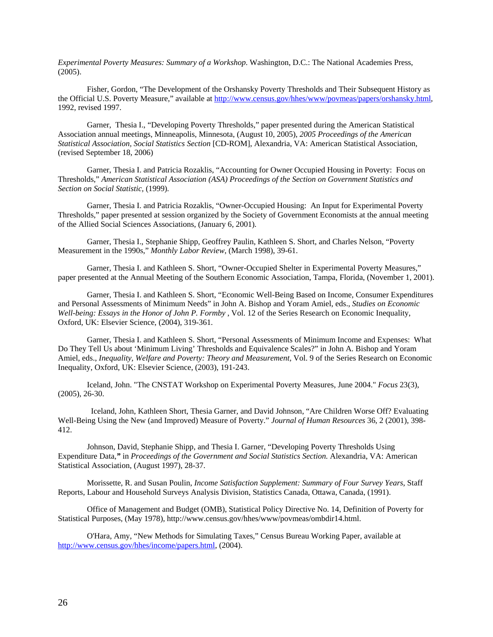*Experimental Poverty Measures: Summary of a Workshop*. Washington, D.C.: The National Academies Press, (2005).

Fisher, Gordon, "The Development of the Orshansky Poverty Thresholds and Their Subsequent History as the Official U.S. Poverty Measure," available at<http://www.census.gov/hhes/www/povmeas/papers/orshansky.html>, 1992, revised 1997.

Garner, Thesia I., "Developing Poverty Thresholds," paper presented during the American Statistical Association annual meetings, Minneapolis, Minnesota, (August 10, 2005), *2005 Proceedings of the American Statistical Association, Social Statistics Section* [CD-ROM], Alexandria, VA: American Statistical Association, (revised September 18, 2006)

Garner, Thesia I. and Patricia Rozaklis, "Accounting for Owner Occupied Housing in Poverty: Focus on Thresholds," *American Statistical Association (ASA) Proceedings of the Section on Government Statistics and Section on Social Statistic,* (1999)*.* 

Garner, Thesia I. and Patricia Rozaklis, "Owner-Occupied Housing: An Input for Experimental Poverty Thresholds," paper presented at session organized by the Society of Government Economists at the annual meeting of the Allied Social Sciences Associations, (January 6, 2001)*.* 

Garner, Thesia I., Stephanie Shipp, Geoffrey Paulin, Kathleen S. Short, and Charles Nelson, "Poverty Measurement in the 1990s," *Monthly Labor Review*, (March 1998), 39-61.

Garner, Thesia I. and Kathleen S. Short, "Owner-Occupied Shelter in Experimental Poverty Measures," paper presented at the Annual Meeting of the Southern Economic Association, Tampa, Florida, (November 1, 2001).

Garner, Thesia I. and Kathleen S. Short, "Economic Well-Being Based on Income, Consumer Expenditures and Personal Assessments of Minimum Needs" in John A. Bishop and Yoram Amiel, eds., *Studies on Economic Well-being: Essays in the Honor of John P. Formby* , Vol. 12 of the Series Research on Economic Inequality, Oxford, UK: Elsevier Science, (2004), 319-361.

Garner, Thesia I. and Kathleen S. Short, "Personal Assessments of Minimum Income and Expenses: What Do They Tell Us about 'Minimum Living' Thresholds and Equivalence Scales?" in John A. Bishop and Yoram Amiel, eds., *Inequality, Welfare and Poverty: Theory and Measurement,* Vol. 9 of the Series Research on Economic Inequality, Oxford, UK: Elsevier Science, (2003), 191-243.

Iceland, John. "The CNSTAT Workshop on Experimental Poverty Measures, June 2004." *Focus* 23(3), (2005), 26-30.

 Iceland, John, Kathleen Short, Thesia Garner, and David Johnson, "[Are Children Worse Off? Evaluating](http://www.jstor.org/view/0022166x/sp030002/03x0020t/0?currentResult=0022166x+sp030002+03x0020t+0,00&searchUrl=http://www.jstor.org/search/AdvancedResults?hp=25&si=1&All=iceland&Exact=&One=&None=&au=on&sd=%25)  [Well-Being Using the New \(and Improved\) Measure of Poverty.](http://www.jstor.org/view/0022166x/sp030002/03x0020t/0?currentResult=0022166x+sp030002+03x0020t+0,00&searchUrl=http://www.jstor.org/search/AdvancedResults?hp=25&si=1&All=iceland&Exact=&One=&None=&au=on&sd=%25)" *Journal of Human Resources* 36, 2 (2001), 398- 412.

Johnson, David, Stephanie Shipp, and Thesia I. Garner, "Developing Poverty Thresholds Using Expenditure Data,*"* in *Proceedings of the Government and Social Statistics Section.* Alexandria, VA: American Statistical Association, (August 1997), 28-37.

Morissette, R. and Susan Poulin, *Income Satisfaction Supplement: Summary of Four Survey Years*, Staff Reports, Labour and Household Surveys Analysis Division, Statistics Canada, Ottawa, Canada, (1991).

Office of Management and Budget (OMB), Statistical Policy Directive No. 14, Definition of Poverty for Statistical Purposes, (May 1978), http://www.census.gov/hhes/www/povmeas/ombdir14.html.

O'Hara, Amy, "New Methods for Simulating Taxes," Census Bureau Working Paper, available at <http://www.census.gov/hhes/income/papers.html>, (2004).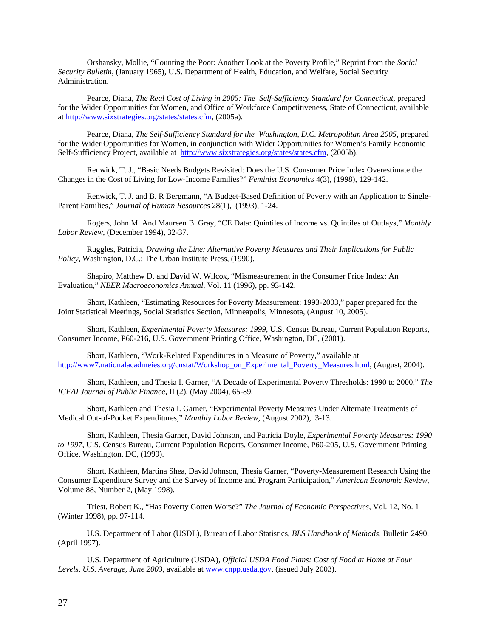Orshansky, Mollie, "Counting the Poor: Another Look at the Poverty Profile," Reprint from the *Social Security Bulletin*, (January 1965), U.S. Department of Health, Education, and Welfare, Social Security Administration.

Pearce, Diana, *The Real Cost of Living in 2005: The Self-Sufficiency Standard for Connecticut,* prepared for the Wider Opportunities for Women, and Office of Workforce Competitiveness, State of Connecticut, available at [http://www.sixstrategies.org/states/states.cfm,](http://www.sixstrategies.org/states/states.cfm) (2005a).

Pearce, Diana, *The Self-Sufficiency Standard for the Washington, D.C. Metropolitan Area 2005*, prepared for the Wider Opportunities for Women, in conjunction with Wider Opportunities for Women's Family Economic Self-Sufficiency Project, available at [http://www.sixstrategies.org/states/states.cfm,](http://www.sixstrategies.org/states/states.cfm) (2005b).

Renwick, T. J., "Basic Needs Budgets Revisited: Does the U.S. Consumer Price Index Overestimate the Changes in the Cost of Living for Low-Income Families?" *Feminist Economics* 4(3), (1998), 129-142.

Renwick, T. J. and B. R Bergmann, "A Budget-Based Definition of Poverty with an Application to Single-Parent Families," *Journal of Human Resources* 28(1), (1993), 1-24.

Rogers, John M. And Maureen B. Gray, "CE Data: Quintiles of Income vs. Quintiles of Outlays," *Monthly Labor Review*, (December 1994), 32-37.

Ruggles, Patricia, *Drawing the Line: Alternative Poverty Measures and Their Implications for Public Policy*, Washington, D.C.: The Urban Institute Press, (1990).

Shapiro, Matthew D. and David W. Wilcox, "Mismeasurement in the Consumer Price Index: An Evaluation," *NBER Macroeconomics Annual*, Vol. 11 (1996), pp. 93-142.

Short, Kathleen, "Estimating Resources for Poverty Measurement: 1993-2003," paper prepared for the Joint Statistical Meetings, Social Statistics Section, Minneapolis, Minnesota, (August 10, 2005).

Short, Kathleen, *Experimental Poverty Measures: 1999,* U.S. Census Bureau, Current Population Reports, Consumer Income, P60-216, U.S. Government Printing Office, Washington, DC, (2001).

Short, Kathleen, "Work-Related Expenditures in a Measure of Poverty," available at [http://www7.nationalacadmeies.org/cnstat/Workshop\\_on\\_Experimental\\_Poverty\\_Measures.html](http://www7.nationalacadmeies.org/cnstat/Workshop_on_Experimental_Poverty_Measures.html), (August, 2004).

Short, Kathleen, and Thesia I. Garner, "A Decade of Experimental Poverty Thresholds: 1990 to 2000," *The ICFAI Journal of Public Finance*, II (2), (May 2004), 65-89.

Short, Kathleen and Thesia I. Garner, "Experimental Poverty Measures Under Alternate Treatments of Medical Out-of-Pocket Expenditures," *Monthly Labor Review,* (August 2002), 3-13.

Short, Kathleen, Thesia Garner, David Johnson, and Patricia Doyle*, Experimental Poverty Measures: 1990 to 1997*, U.S. Census Bureau, Current Population Reports, Consumer Income, P60-205, U.S. Government Printing Office, Washington, DC, (1999).

Short, Kathleen, Martina Shea, David Johnson, Thesia Garner, "Poverty-Measurement Research Using the Consumer Expenditure Survey and the Survey of Income and Program Participation," *American Economic Review*, Volume 88, Number 2, (May 1998).

Triest, Robert K., "Has Poverty Gotten Worse?" *The Journal of Economic Perspectives*, Vol. 12, No. 1 (Winter 1998), pp. 97-114.

U.S. Department of Labor (USDL), Bureau of Labor Statistics, *BLS Handbook of Methods*, Bulletin 2490, (April 1997).

U.S. Department of Agriculture (USDA), *Official USDA Food Plans: Cost of Food at Home at Four Levels, U.S. Average, June 2003*, available at [www.cnpp.usda.gov](http://www.cnpp.usda.gov/), (issued July 2003).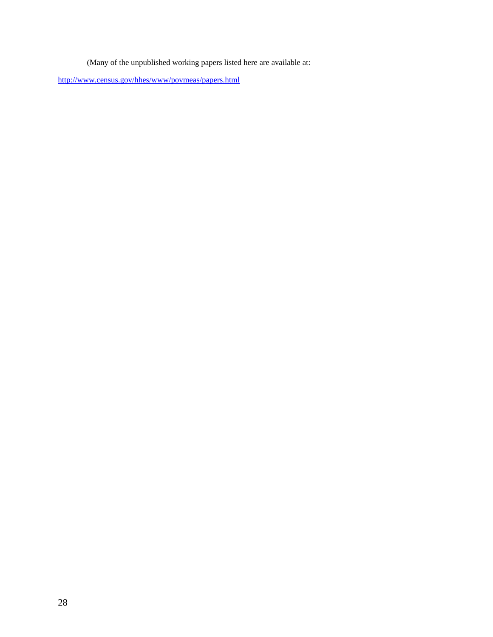(Many of the unpublished working papers listed here are available at:

<http://www.census.gov/hhes/www/povmeas/papers.html>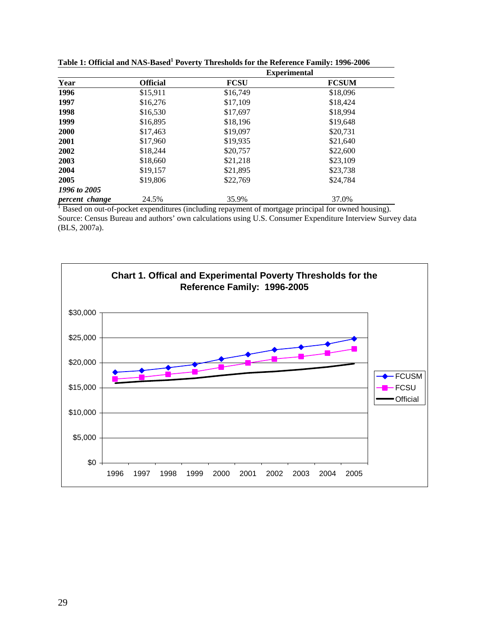|                |                 |             | <b>Experimental</b> |
|----------------|-----------------|-------------|---------------------|
| Year           | <b>Official</b> | <b>FCSU</b> | <b>FCSUM</b>        |
| 1996           | \$15,911        | \$16,749    | \$18,096            |
| 1997           | \$16,276        | \$17,109    | \$18,424            |
| 1998           | \$16,530        | \$17,697    | \$18,994            |
| 1999           | \$16,895        | \$18,196    | \$19,648            |
| 2000           | \$17,463        | \$19,097    | \$20,731            |
| 2001           | \$17,960        | \$19,935    | \$21,640            |
| 2002           | \$18,244        | \$20,757    | \$22,600            |
| 2003           | \$18,660        | \$21,218    | \$23,109            |
| 2004           | \$19,157        | \$21,895    | \$23,738            |
| 2005           | \$19,806        | \$22,769    | \$24,784            |
| 1996 to 2005   |                 |             |                     |
| percent change | 24.5%           | 35.9%       | 37.0%               |

Table 1: Official and NAS-Based<sup>1</sup> Poverty Thresholds for the Reference Family: 1996-2006

**percent change** 24.5% 35.9% 35.9% 37.0% 37.0% Source: Census Bureau and authors' own calculations using U.S. Consumer Expenditure Interview Survey data (BLS, 2007a).

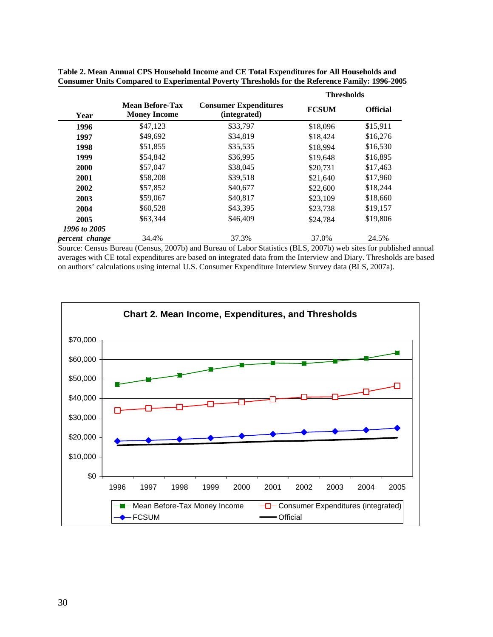|                |                                               |                                              | <b>Thresholds</b> |                 |
|----------------|-----------------------------------------------|----------------------------------------------|-------------------|-----------------|
| Year           | <b>Mean Before-Tax</b><br><b>Money Income</b> | <b>Consumer Expenditures</b><br>(integrated) | <b>FCSUM</b>      | <b>Official</b> |
| 1996           | \$47,123                                      | \$33,797                                     | \$18,096          | \$15,911        |
| 1997           | \$49,692                                      | \$34,819                                     | \$18,424          | \$16,276        |
| 1998           | \$51,855                                      | \$35,535                                     | \$18,994          | \$16,530        |
| 1999           | \$54,842                                      | \$36,995                                     | \$19,648          | \$16,895        |
| 2000           | \$57,047                                      | \$38,045                                     | \$20,731          | \$17,463        |
| 2001           | \$58,208                                      | \$39,518                                     | \$21,640          | \$17,960        |
| 2002           | \$57,852                                      | \$40,677                                     | \$22,600          | \$18,244        |
| 2003           | \$59,067                                      | \$40,817                                     | \$23,109          | \$18,660        |
| 2004           | \$60,528                                      | \$43,395                                     | \$23,738          | \$19,157        |
| 2005           | \$63,344                                      | \$46,409                                     | \$24,784          | \$19,806        |
| 1996 to 2005   |                                               |                                              |                   |                 |
| percent change | 34.4%                                         | 37.3%                                        | 37.0%             | 24.5%           |

| Table 2. Mean Annual CPS Household Income and CE Total Expenditures for All Households and            |  |
|-------------------------------------------------------------------------------------------------------|--|
| <b>Consumer Units Compared to Experimental Poverty Thresholds for the Reference Family: 1996-2005</b> |  |

Source: Census Bureau (Census, 2007b) and Bureau of Labor Statistics (BLS, 2007b) web sites for published annual averages with CE total expenditures are based on integrated data from the Interview and Diary. Thresholds are based on authors' calculations using internal U.S. Consumer Expenditure Interview Survey data (BLS, 2007a).

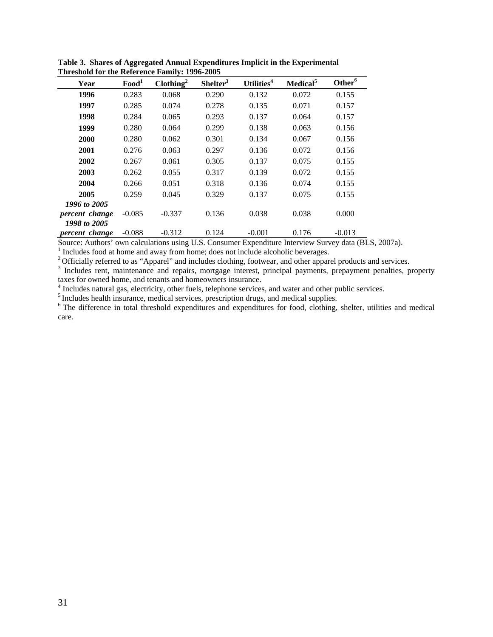| Year           | Food <sup>1</sup> | Clothing <sup>2</sup> | Shelter <sup>3</sup> | Utilities <sup>4</sup> | Medical <sup>5</sup> | Other <sup>6</sup> |
|----------------|-------------------|-----------------------|----------------------|------------------------|----------------------|--------------------|
| 1996           | 0.283             | 0.068                 | 0.290                | 0.132                  | 0.072                | 0.155              |
| 1997           | 0.285             | 0.074                 | 0.278                | 0.135                  | 0.071                | 0.157              |
| 1998           | 0.284             | 0.065                 | 0.293                | 0.137                  | 0.064                | 0.157              |
| 1999           | 0.280             | 0.064                 | 0.299                | 0.138                  | 0.063                | 0.156              |
| 2000           | 0.280             | 0.062                 | 0.301                | 0.134                  | 0.067                | 0.156              |
| 2001           | 0.276             | 0.063                 | 0.297                | 0.136                  | 0.072                | 0.156              |
| 2002           | 0.267             | 0.061                 | 0.305                | 0.137                  | 0.075                | 0.155              |
| 2003           | 0.262             | 0.055                 | 0.317                | 0.139                  | 0.072                | 0.155              |
| 2004           | 0.266             | 0.051                 | 0.318                | 0.136                  | 0.074                | 0.155              |
| 2005           | 0.259             | 0.045                 | 0.329                | 0.137                  | 0.075                | 0.155              |
| 1996 to 2005   |                   |                       |                      |                        |                      |                    |
| percent change | $-0.085$          | $-0.337$              | 0.136                | 0.038                  | 0.038                | 0.000              |
| 1998 to 2005   |                   |                       |                      |                        |                      |                    |
| percent change | $-0.088$          | $-0.312$              | 0.124                | $-0.001$               | 0.176                | $-0.013$           |

**Table 3. Shares of Aggregated Annual Expenditures Implicit in the Experimental Threshold for the Reference Family: 1996-2005** 

Source: Authors' own calculations using U.S. Consumer Expenditure Interview Survey data (BLS, 2007a).

<sup>1</sup> Includes food at home and away from home; does not include alcoholic beverages.

<sup>2</sup> Officially referred to as "Apparel" and includes clothing, footwear, and other apparel products and services.

<sup>3</sup> Includes rent, maintenance and repairs, mortgage interest, principal payments, prepayment penalties, property taxes for owned home, and tenants and homeowners insurance.

<sup>4</sup> Includes natural gas, electricity, other fuels, telephone services, and water and other public services.

<sup>5</sup> Includes health insurance, medical services, prescription drugs, and medical supplies.<br><sup>6</sup> The difference in total threshold expenditures and expenditures for food, clothing, shelter, utilities and medical care.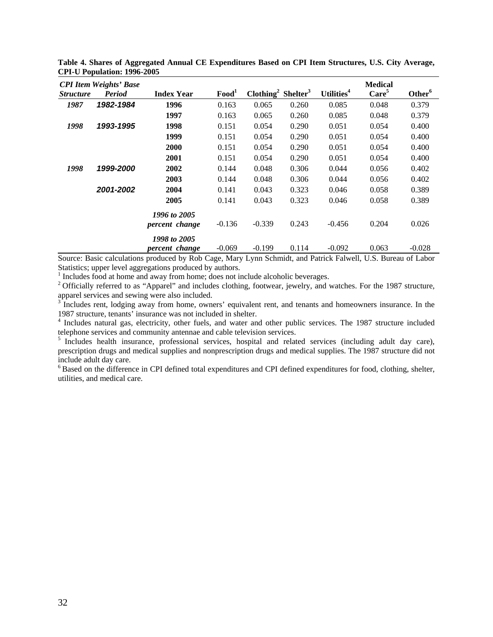|                         | <b>CPI</b> Item Weights' Base |                   |                   |                                            |       | Utilities <sup>4</sup> | <b>Medical</b>    | Other <sup>6</sup> |
|-------------------------|-------------------------------|-------------------|-------------------|--------------------------------------------|-------|------------------------|-------------------|--------------------|
| <i><b>Structure</b></i> | <b>Period</b>                 | <b>Index Year</b> | Food <sup>1</sup> | Clothing <sup>2</sup> Shelter <sup>3</sup> |       |                        | Care <sup>5</sup> |                    |
| 1987                    | 1982-1984                     | 1996              | 0.163             | 0.065                                      | 0.260 | 0.085                  | 0.048             | 0.379              |
|                         |                               | 1997              | 0.163             | 0.065                                      | 0.260 | 0.085                  | 0.048             | 0.379              |
| 1998                    | 1993-1995                     | 1998              | 0.151             | 0.054                                      | 0.290 | 0.051                  | 0.054             | 0.400              |
|                         |                               | 1999              | 0.151             | 0.054                                      | 0.290 | 0.051                  | 0.054             | 0.400              |
|                         |                               | 2000              | 0.151             | 0.054                                      | 0.290 | 0.051                  | 0.054             | 0.400              |
|                         |                               | 2001              | 0.151             | 0.054                                      | 0.290 | 0.051                  | 0.054             | 0.400              |
| 1998                    | 1999-2000                     | 2002              | 0.144             | 0.048                                      | 0.306 | 0.044                  | 0.056             | 0.402              |
|                         |                               | 2003              | 0.144             | 0.048                                      | 0.306 | 0.044                  | 0.056             | 0.402              |
|                         | 2001-2002                     | 2004              | 0.141             | 0.043                                      | 0.323 | 0.046                  | 0.058             | 0.389              |
|                         |                               | 2005              | 0.141             | 0.043                                      | 0.323 | 0.046                  | 0.058             | 0.389              |
|                         |                               | 1996 to 2005      |                   |                                            |       |                        |                   |                    |
|                         |                               | percent change    | $-0.136$          | $-0.339$                                   | 0.243 | $-0.456$               | 0.204             | 0.026              |
|                         |                               | 1998 to 2005      |                   |                                            |       |                        |                   |                    |
|                         |                               | percent change    | $-0.069$          | $-0.199$                                   | 0.114 | $-0.092$               | 0.063             | $-0.028$           |

**Table 4. Shares of Aggregated Annual CE Expenditures Based on CPI Item Structures, U.S. City Average, CPI-U Population: 1996-2005** 

Source: Basic calculations produced by Rob Cage, Mary Lynn Schmidt, and Patrick Falwell, U.S. Bureau of Labor Statistics; upper level aggregations produced by authors.

<sup>1</sup> Includes food at home and away from home; does not include alcoholic beverages.

<sup>2</sup> Officially referred to as "Apparel" and includes clothing, footwear, jewelry, and watches. For the 1987 structure, apparel services and sewing were also included.

<sup>3</sup>Includes rent, lodging away from home, owners' equivalent rent, and tenants and homeowners insurance. In the 1987 structure, tenants' insurance was not included in shelter.

<sup>4</sup> Includes natural gas, electricity, other fuels, and water and other public services. The 1987 structure included telephone services and community antennae and cable television services.<br><sup>5</sup> Includes health insurance, professional services, hospital and related services (including adult day care),

prescription drugs and medical supplies and nonprescription drugs and medical supplies. The 1987 structure did not include adult day care.

<sup>6</sup> Based on the difference in CPI defined total expenditures and CPI defined expenditures for food, clothing, shelter, utilities, and medical care.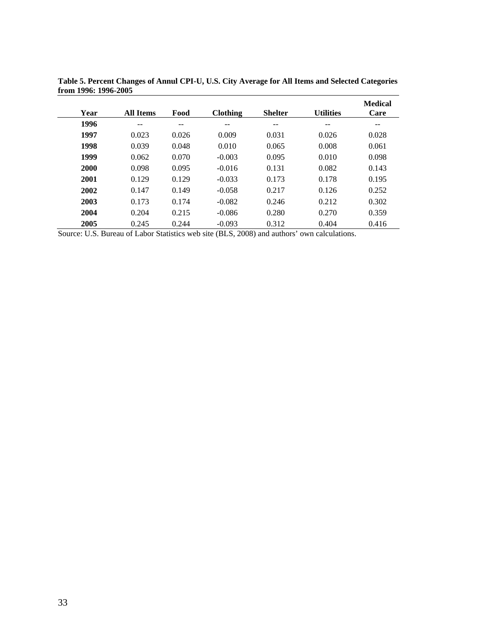| Year | <b>All Items</b> | Food  | <b>Clothing</b> | <b>Shelter</b> | <b>Utilities</b> | <b>Medical</b><br>Care |
|------|------------------|-------|-----------------|----------------|------------------|------------------------|
| 1996 | --               | --    | --              | --             | --               | --                     |
| 1997 | 0.023            | 0.026 | 0.009           | 0.031          | 0.026            | 0.028                  |
| 1998 | 0.039            | 0.048 | 0.010           | 0.065          | 0.008            | 0.061                  |
| 1999 | 0.062            | 0.070 | $-0.003$        | 0.095          | 0.010            | 0.098                  |
| 2000 | 0.098            | 0.095 | $-0.016$        | 0.131          | 0.082            | 0.143                  |
| 2001 | 0.129            | 0.129 | $-0.033$        | 0.173          | 0.178            | 0.195                  |
| 2002 | 0.147            | 0.149 | $-0.058$        | 0.217          | 0.126            | 0.252                  |
| 2003 | 0.173            | 0.174 | $-0.082$        | 0.246          | 0.212            | 0.302                  |
| 2004 | 0.204            | 0.215 | $-0.086$        | 0.280          | 0.270            | 0.359                  |
| 2005 | 0.245            | 0.244 | $-0.093$        | 0.312          | 0.404            | 0.416                  |

**Table 5. Percent Changes of Annul CPI-U, U.S. City Average for All Items and Selected Categories from 1996: 1996-2005** 

Source: U.S. Bureau of Labor Statistics web site (BLS, 2008) and authors' own calculations.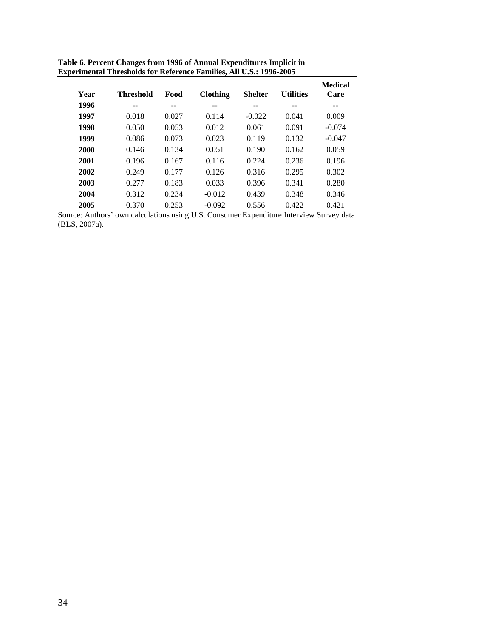| Year | <b>Threshold</b> | Food  | <b>Clothing</b> | <b>Shelter</b> | <b>Utilities</b> | <b>Medical</b><br>Care |
|------|------------------|-------|-----------------|----------------|------------------|------------------------|
| 1996 | --               | --    | --              | --             | --               | --                     |
| 1997 | 0.018            | 0.027 | 0.114           | $-0.022$       | 0.041            | 0.009                  |
| 1998 | 0.050            | 0.053 | 0.012           | 0.061          | 0.091            | $-0.074$               |
| 1999 | 0.086            | 0.073 | 0.023           | 0.119          | 0.132            | $-0.047$               |
| 2000 | 0.146            | 0.134 | 0.051           | 0.190          | 0.162            | 0.059                  |
| 2001 | 0.196            | 0.167 | 0.116           | 0.224          | 0.236            | 0.196                  |
| 2002 | 0.249            | 0.177 | 0.126           | 0.316          | 0.295            | 0.302                  |
| 2003 | 0.277            | 0.183 | 0.033           | 0.396          | 0.341            | 0.280                  |
| 2004 | 0.312            | 0.234 | $-0.012$        | 0.439          | 0.348            | 0.346                  |
| 2005 | 0.370            | 0.253 | $-0.092$        | 0.556          | 0.422            | 0.421                  |

| Table 6. Percent Changes from 1996 of Annual Expenditures Implicit in      |
|----------------------------------------------------------------------------|
| <b>Experimental Thresholds for Reference Families, All U.S.: 1996-2005</b> |

Source: Authors' own calculations using U.S. Consumer Expenditure Interview Survey data (BLS, 2007a).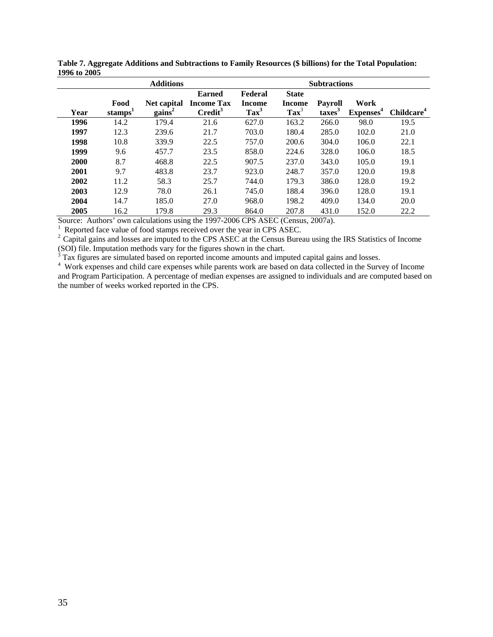|      |                             | <b>Additions</b>         |                                                           |                                            |                                                   | <b>Subtractions</b>                |                               |                        |
|------|-----------------------------|--------------------------|-----------------------------------------------------------|--------------------------------------------|---------------------------------------------------|------------------------------------|-------------------------------|------------------------|
| Year | Food<br>stamps <sup>1</sup> | Net capital<br>$gains^2$ | <b>Earned</b><br><b>Income Tax</b><br>Credit <sup>3</sup> | Federal<br><b>Income</b><br>$\text{Tax}^3$ | <b>State</b><br><b>Income</b><br>$\textbf{Tax}^3$ | <b>Payroll</b><br>$\text{taxes}^3$ | Work<br>Expenses <sup>4</sup> | Childcare <sup>4</sup> |
| 1996 | 14.2                        | 179.4                    | 21.6                                                      | 627.0                                      | 163.2                                             | 266.0                              | 98.0                          | 19.5                   |
| 1997 | 12.3                        | 239.6                    | 21.7                                                      | 703.0                                      | 180.4                                             | 285.0                              | 102.0                         | 21.0                   |
| 1998 | 10.8                        | 339.9                    | 22.5                                                      | 757.0                                      | 200.6                                             | 304.0                              | 106.0                         | 22.1                   |
| 1999 | 9.6                         | 457.7                    | 23.5                                                      | 858.0                                      | 224.6                                             | 328.0                              | 106.0                         | 18.5                   |
| 2000 | 8.7                         | 468.8                    | 22.5                                                      | 907.5                                      | 237.0                                             | 343.0                              | 105.0                         | 19.1                   |
| 2001 | 9.7                         | 483.8                    | 23.7                                                      | 923.0                                      | 248.7                                             | 357.0                              | 120.0                         | 19.8                   |
| 2002 | 11.2                        | 58.3                     | 25.7                                                      | 744.0                                      | 179.3                                             | 386.0                              | 128.0                         | 19.2                   |
| 2003 | 12.9                        | 78.0                     | 26.1                                                      | 745.0                                      | 188.4                                             | 396.0                              | 128.0                         | 19.1                   |
| 2004 | 14.7                        | 185.0                    | 27.0                                                      | 968.0                                      | 198.2                                             | 409.0                              | 134.0                         | 20.0                   |
| 2005 | 16.2                        | 179.8                    | 29.3                                                      | 864.0                                      | 207.8                                             | 431.0                              | 152.0                         | 22.2                   |

**Table 7. Aggregate Additions and Subtractions to Family Resources (\$ billions) for the Total Population: 1996 to 2005** 

Source: Authors' own calculations using the 1997-2006 CPS ASEC (Census, 2007a).

<sup>2</sup> Capital gains and losses are imputed to the CPS ASEC at the Census Bureau using the IRS Statistics of Income (SOI) file. Imputation methods vary for the figures shown in the chart.

<sup>3</sup> Tax figures are simulated based on reported income amounts and imputed capital gains and losses.

<sup>4</sup> Work expenses and child care expenses while parents work are based on data collected in the Survey of Income and Program Participation. A percentage of median expenses are assigned to individuals and are computed based on the number of weeks worked reported in the CPS.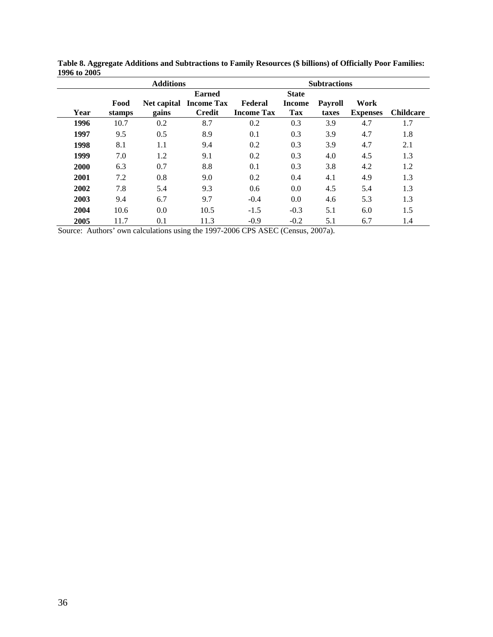|      |                | <b>Additions</b>     |                                                     |                              |                                      | <b>Subtractions</b>     |                         |                  |
|------|----------------|----------------------|-----------------------------------------------------|------------------------------|--------------------------------------|-------------------------|-------------------------|------------------|
| Year | Food<br>stamps | Net capital<br>gains | <b>Earned</b><br><b>Income Tax</b><br><b>Credit</b> | Federal<br><b>Income Tax</b> | <b>State</b><br><b>Income</b><br>Tax | <b>Payroll</b><br>taxes | Work<br><b>Expenses</b> | <b>Childcare</b> |
| 1996 | 10.7           | 0.2                  | 8.7                                                 | 0.2                          | 0.3                                  | 3.9                     | 4.7                     | 1.7              |
| 1997 | 9.5            | 0.5                  | 8.9                                                 | 0.1                          | 0.3                                  | 3.9                     | 4.7                     | 1.8              |
| 1998 | 8.1            | 1.1                  | 9.4                                                 | 0.2                          | 0.3                                  | 3.9                     | 4.7                     | 2.1              |
| 1999 | 7.0            | 1.2                  | 9.1                                                 | 0.2                          | 0.3                                  | 4.0                     | 4.5                     | 1.3              |
| 2000 | 6.3            | 0.7                  | 8.8                                                 | 0.1                          | 0.3                                  | 3.8                     | 4.2                     | 1.2              |
| 2001 | 7.2            | 0.8                  | 9.0                                                 | 0.2                          | 0.4                                  | 4.1                     | 4.9                     | 1.3              |
| 2002 | 7.8            | 5.4                  | 9.3                                                 | 0.6                          | 0.0                                  | 4.5                     | 5.4                     | 1.3              |
| 2003 | 9.4            | 6.7                  | 9.7                                                 | $-0.4$                       | 0.0                                  | 4.6                     | 5.3                     | 1.3              |
| 2004 | 10.6           | 0.0                  | 10.5                                                | $-1.5$                       | $-0.3$                               | 5.1                     | 6.0                     | 1.5              |
| 2005 | 11.7           | 0.1                  | 11.3                                                | $-0.9$                       | $-0.2$                               | 5.1                     | 6.7                     | 1.4              |

**Table 8. Aggregate Additions and Subtractions to Family Resources (\$ billions) of Officially Poor Families: 1996 to 2005** 

Source: Authors' own calculations using the 1997-2006 CPS ASEC (Census, 2007a).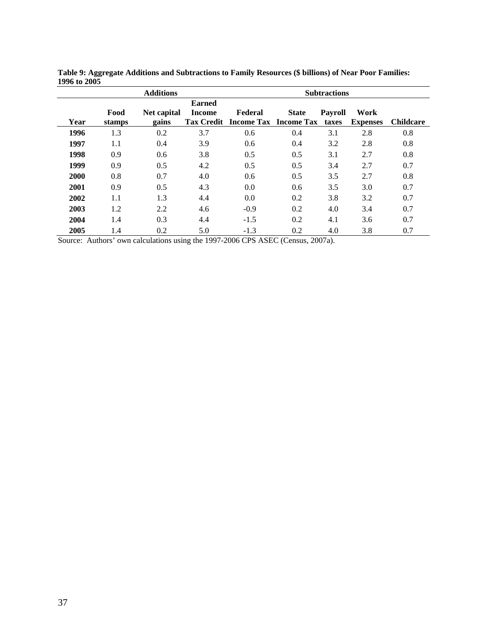|      |                | <b>Additions</b>     |                                                     |         |                                              | <b>Subtractions</b>     |                         |                  |
|------|----------------|----------------------|-----------------------------------------------------|---------|----------------------------------------------|-------------------------|-------------------------|------------------|
| Year | Food<br>stamps | Net capital<br>gains | <b>Earned</b><br><b>Income</b><br><b>Tax Credit</b> | Federal | <b>State</b><br><b>Income Tax Income Tax</b> | <b>Payroll</b><br>taxes | Work<br><b>Expenses</b> | <b>Childcare</b> |
| 1996 | 1.3            | 0.2                  | 3.7                                                 | 0.6     | 0.4                                          | 3.1                     | 2.8                     | 0.8              |
| 1997 | 1.1            | 0.4                  | 3.9                                                 | 0.6     | 0.4                                          | 3.2                     | 2.8                     | 0.8              |
| 1998 | 0.9            | 0.6                  | 3.8                                                 | 0.5     | 0.5                                          | 3.1                     | 2.7                     | 0.8              |
| 1999 | 0.9            | 0.5                  | 4.2                                                 | 0.5     | 0.5                                          | 3.4                     | 2.7                     | 0.7              |
| 2000 | 0.8            | 0.7                  | 4.0                                                 | 0.6     | 0.5                                          | 3.5                     | 2.7                     | 0.8              |
| 2001 | 0.9            | 0.5                  | 4.3                                                 | 0.0     | 0.6                                          | 3.5                     | 3.0                     | 0.7              |
| 2002 | 1.1            | 1.3                  | 4.4                                                 | 0.0     | 0.2                                          | 3.8                     | 3.2                     | 0.7              |
| 2003 | 1.2            | 2.2                  | 4.6                                                 | $-0.9$  | 0.2                                          | 4.0                     | 3.4                     | 0.7              |
| 2004 | 1.4            | 0.3                  | 4.4                                                 | $-1.5$  | 0.2                                          | 4.1                     | 3.6                     | 0.7              |
| 2005 | 1.4            | 0.2                  | 5.0                                                 | $-1.3$  | 0.2                                          | 4.0                     | 3.8                     | 0.7              |

**Table 9: Aggregate Additions and Subtractions to Family Resources (\$ billions) of Near Poor Families: 1996 to 2005** 

Source: Authors' own calculations using the 1997-2006 CPS ASEC (Census, 2007a).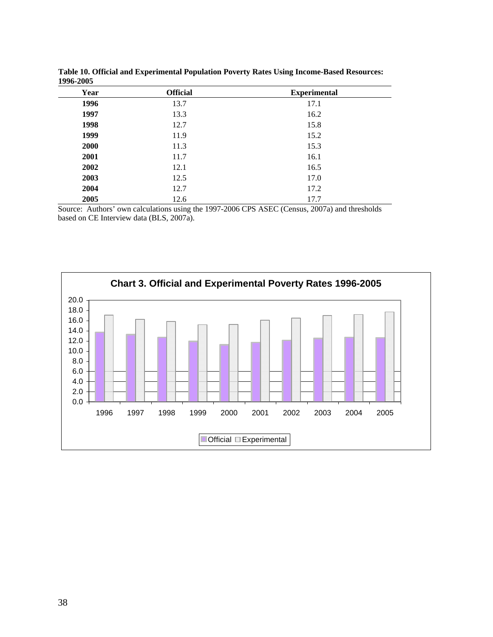| 1770-200J |                 |                     |
|-----------|-----------------|---------------------|
| Year      | <b>Official</b> | <b>Experimental</b> |
| 1996      | 13.7            | 17.1                |
| 1997      | 13.3            | 16.2                |
| 1998      | 12.7            | 15.8                |
| 1999      | 11.9            | 15.2                |
| 2000      | 11.3            | 15.3                |
| 2001      | 11.7            | 16.1                |
| 2002      | 12.1            | 16.5                |
| 2003      | 12.5            | 17.0                |
| 2004      | 12.7            | 17.2                |
| 2005      | 12.6            | 17.7                |

**Table 10. Official and Experimental Population Poverty Rates Using Income-Based Resources: 1996-2005** 

Source: Authors' own calculations using the 1997-2006 CPS ASEC (Census, 2007a) and thresholds based on CE Interview data (BLS, 2007a).